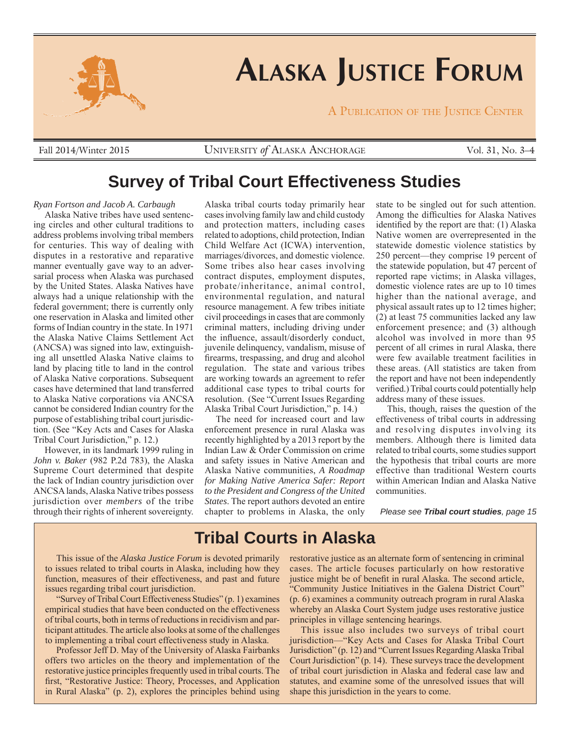

# **ALASKA JUSTICE FORUM**

A PUBLICATION OF THE JUSTICE CENTER

UNIVERSITY *of* ALASKA ANCHORAGE Fall 2014/Winter 2015 Vol. 31, No. 3–4

### **Survey of Tribal Court Effectiveness Studies**

#### *Ryan Fortson and Jacob A. Carbaugh*

Alaska Native tribes have used sentencing circles and other cultural traditions to address problems involving tribal members for centuries. This way of dealing with disputes in a restorative and reparative manner eventually gave way to an adversarial process when Alaska was purchased by the United States. Alaska Natives have always had a unique relationship with the federal government; there is currently only one reservation in Alaska and limited other forms of Indian country in the state. In 1971 the Alaska Native Claims Settlement Act (ANCSA) was signed into law, extinguishing all unsettled Alaska Native claims to land by placing title to land in the control of Alaska Native corporations. Subsequent cases have determined that land transferred to Alaska Native corporations via ANCSA cannot be considered Indian country for the purpose of establishing tribal court jurisdiction. (See "Key Acts and Cases for Alaska Tribal Court Jurisdiction," p. 12.)

However, in its landmark 1999 ruling in *John v. Baker* (982 P.2d 783), the Alaska Supreme Court determined that despite the lack of Indian country jurisdiction over ANCSA lands, Alaska Native tribes possess jurisdiction over *members* of the tribe through their rights of inherent sovereignty.

Alaska tribal courts today primarily hear cases involving family law and child custody and protection matters, including cases related to adoptions, child protection, Indian Child Welfare Act (ICWA) intervention, marriages/divorces, and domestic violence. Some tribes also hear cases involving contract disputes, employment disputes, probate/inheritance, animal control, environmental regulation, and natural resource management. A few tribes initiate civil proceedings in cases that are commonly criminal matters, including driving under the influence, assault/disorderly conduct, juvenile delinquency, vandalism, misuse of firearms, trespassing, and drug and alcohol regulation. The state and various tribes are working towards an agreement to refer additional case types to tribal courts for resolution. (See "Current Issues Regarding Alaska Tribal Court Jurisdiction," p. 14.)

The need for increased court and law enforcement presence in rural Alaska was recently highlighted by a 2013 report by the Indian Law & Order Commission on crime and safety issues in Native American and Alaska Native communities, *A Roadmap for Making Native America Safer: Report to the President and Congress of the United States*. The report authors devoted an entire chapter to problems in Alaska, the only state to be singled out for such attention. Among the difficulties for Alaska Natives identified by the report are that:  $(1)$  Alaska Native women are overrepresented in the statewide domestic violence statistics by 250 percent—they comprise 19 percent of the statewide population, but 47 percent of reported rape victims; in Alaska villages, domestic violence rates are up to 10 times higher than the national average, and physical assault rates up to 12 times higher; (2) at least 75 communities lacked any law enforcement presence; and (3) although alcohol was involved in more than 95 percent of all crimes in rural Alaska, there were few available treatment facilities in these areas. (All statistics are taken from the report and have not been independently verified.) Tribal courts could potentially help address many of these issues.

This, though, raises the question of the effectiveness of tribal courts in addressing and resolving disputes involving its members. Although there is limited data related to tribal courts, some studies support the hypothesis that tribal courts are more effective than traditional Western courts within American Indian and Alaska Native communities.

*Please see Tribal court studies, page 15*

### **Tribal Courts in Alaska**

This issue of the *Alaska Justice Forum* is devoted primarily to issues related to tribal courts in Alaska, including how they function, measures of their effectiveness, and past and future issues regarding tribal court jurisdiction.

"Survey of Tribal Court Effectiveness Studies" (p. 1) examines empirical studies that have been conducted on the effectiveness of tribal courts, both in terms of reductions in recidivism and participant attitudes. The article also looks at some of the challenges to implementing a tribal court effectiveness study in Alaska.

Professor Jeff D. May of the University of Alaska Fairbanks offers two articles on the theory and implementation of the restorative justice principles frequently used in tribal courts. The first, "Restorative Justice: Theory, Processes, and Application in Rural Alaska" (p. 2), explores the principles behind using restorative justice as an alternate form of sentencing in criminal cases. The article focuses particularly on how restorative justice might be of benefit in rural Alaska. The second article, "Community Justice Initiatives in the Galena District Court" (p. 6) examines a community outreach program in rural Alaska whereby an Alaska Court System judge uses restorative justice principles in village sentencing hearings.

This issue also includes two surveys of tribal court jurisdiction—"Key Acts and Cases for Alaska Tribal Court Jurisdiction" (p. 12) and "Current Issues Regarding Alaska Tribal Court Jurisdiction" (p. 14). These surveys trace the development of tribal court jurisdiction in Alaska and federal case law and statutes, and examine some of the unresolved issues that will shape this jurisdiction in the years to come.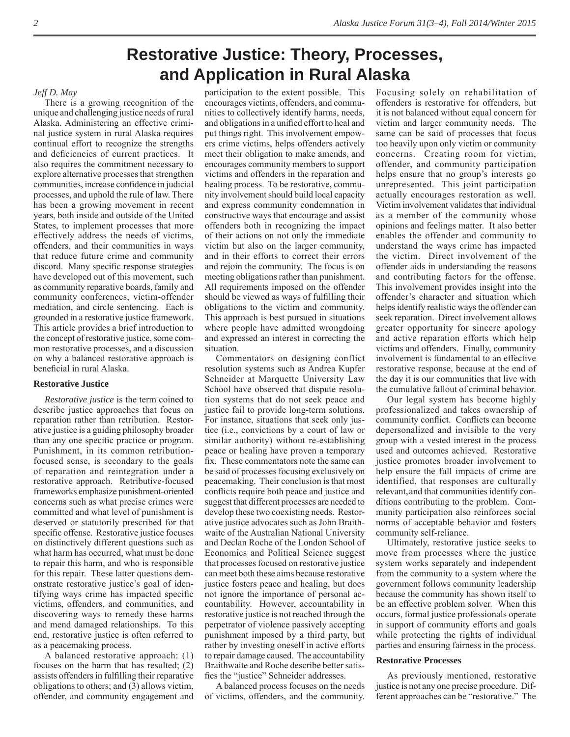# **Restorative Justice: Theory, Processes, and Application in Rural Alaska**

#### *Jeff D. May*

There is a growing recognition of the unique and challenging justice needs of rural Alaska. Administering an effective criminal justice system in rural Alaska requires continual effort to recognize the strengths and deficiencies of current practices. It also requires the commitment necessary to explore alternative processes that strengthen communities, increase confidence in judicial processes, and uphold the rule of law. There has been a growing movement in recent years, both inside and outside of the United States, to implement processes that more effectively address the needs of victims, offenders, and their communities in ways that reduce future crime and community discord. Many specific response strategies have developed out of this movement, such as community reparative boards, family and community conferences, victim-offender mediation, and circle sentencing. Each is grounded in a restorative justice framework. This article provides a brief introduction to the concept of restorative justice, some common restorative processes, and a discussion on why a balanced restorative approach is beneficial in rural Alaska.

#### **Restorative Justice**

*Restorative justice* is the term coined to describe justice approaches that focus on reparation rather than retribution. Restorative justice is a guiding philosophy broader than any one specific practice or program. Punishment, in its common retributionfocused sense, is secondary to the goals of reparation and reintegration under a restorative approach. Retributive-focused frameworks emphasize punishment-oriented concerns such as what precise crimes were committed and what level of punishment is deserved or statutorily prescribed for that specific offense. Restorative justice focuses on distinctively different questions such as what harm has occurred, what must be done to repair this harm, and who is responsible for this repair. These latter questions demonstrate restorative justice's goal of identifying ways crime has impacted specific victims, offenders, and communities, and discovering ways to remedy these harms and mend damaged relationships. To this end, restorative justice is often referred to as a peacemaking process.

A balanced restorative approach: (1) focuses on the harm that has resulted; (2) assists offenders in fulfilling their reparative obligations to others; and (3) allows victim, offender, and community engagement and

participation to the extent possible. This encourages victims, offenders, and communities to collectively identify harms, needs, and obligations in a unified effort to heal and put things right. This involvement empowers crime victims, helps offenders actively meet their obligation to make amends, and encourages community members to support victims and offenders in the reparation and healing process. To be restorative, community involvement should build local capacity and express community condemnation in constructive ways that encourage and assist offenders both in recognizing the impact of their actions on not only the immediate victim but also on the larger community, and in their efforts to correct their errors and rejoin the community. The focus is on meeting obligations rather than punishment. All requirements imposed on the offender should be viewed as ways of fulfilling their obligations to the victim and community. This approach is best pursued in situations where people have admitted wrongdoing and expressed an interest in correcting the situation.

Commentators on designing conflict resolution systems such as Andrea Kupfer Schneider at Marquette University Law School have observed that dispute resolution systems that do not seek peace and justice fail to provide long-term solutions. For instance, situations that seek only justice (i.e., convictions by a court of law or similar authority) without re-establishing peace or healing have proven a temporary fix. These commentators note the same can be said of processes focusing exclusively on peacemaking. Their conclusion is that most conflicts require both peace and justice and suggest that different processes are needed to develop these two coexisting needs. Restorative justice advocates such as John Braithwaite of the Australian National University and Declan Roche of the London School of Economics and Political Science suggest that processes focused on restorative justice can meet both these aims because restorative justice fosters peace and healing, but does not ignore the importance of personal accountability. However, accountability in restorative justice is not reached through the perpetrator of violence passively accepting punishment imposed by a third party, but rather by investing oneself in active efforts to repair damage caused. The accountability Braithwaite and Roche describe better satisfies the "justice" Schneider addresses.

A balanced process focuses on the needs of victims, offenders, and the community. Focusing solely on rehabilitation of offenders is restorative for offenders, but it is not balanced without equal concern for victim and larger community needs. The same can be said of processes that focus too heavily upon only victim or community concerns. Creating room for victim, offender, and community participation helps ensure that no group's interests go unrepresented. This joint participation actually encourages restoration as well. Victim involvement validates that individual as a member of the community whose opinions and feelings matter. It also better enables the offender and community to understand the ways crime has impacted the victim. Direct involvement of the offender aids in understanding the reasons and contributing factors for the offense. This involvement provides insight into the offender's character and situation which helps identify realistic ways the offender can seek reparation. Direct involvement allows greater opportunity for sincere apology and active reparation efforts which help victims and offenders. Finally, community involvement is fundamental to an effective restorative response, because at the end of the day it is our communities that live with the cumulative fallout of criminal behavior.

Our legal system has become highly professionalized and takes ownership of community conflict. Conflicts can become depersonalized and invisible to the very group with a vested interest in the process used and outcomes achieved. Restorative justice promotes broader involvement to help ensure the full impacts of crime are identified, that responses are culturally relevant,and that communities identify conditions contributing to the problem. Community participation also reinforces social norms of acceptable behavior and fosters community self-reliance.

Ultimately, restorative justice seeks to move from processes where the justice system works separately and independent from the community to a system where the government follows community leadership because the community has shown itself to be an effective problem solver. When this occurs, formal justice professionals operate in support of community efforts and goals while protecting the rights of individual parties and ensuring fairness in the process.

#### **Restorative Processes**

As previously mentioned, restorative justice is not any one precise procedure. Different approaches can be "restorative." The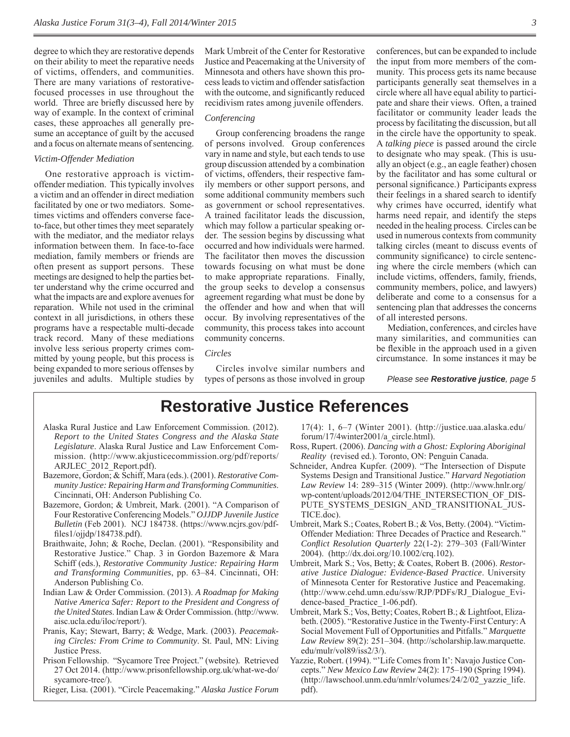degree to which they are restorative depends on their ability to meet the reparative needs of victims, offenders, and communities. There are many variations of restorativefocused processes in use throughout the world. Three are briefly discussed here by way of example. In the context of criminal cases, these approaches all generally presume an acceptance of guilt by the accused and a focus on alternate means of sentencing.

#### *Victim-Offender Mediation*

One restorative approach is victimoffender mediation. This typically involves a victim and an offender in direct mediation facilitated by one or two mediators. Sometimes victims and offenders converse faceto-face, but other times they meet separately with the mediator, and the mediator relays information between them. In face-to-face mediation, family members or friends are often present as support persons. These meetings are designed to help the parties better understand why the crime occurred and what the impacts are and explore avenues for reparation. While not used in the criminal context in all jurisdictions, in others these programs have a respectable multi-decade track record. Many of these mediations involve less serious property crimes committed by young people, but this process is being expanded to more serious offenses by juveniles and adults. Multiple studies by

Mark Umbreit of the Center for Restorative Justice and Peacemaking at the University of Minnesota and others have shown this process leads to victim and offender satisfaction with the outcome, and significantly reduced recidivism rates among juvenile offenders.

#### *Conferencing*

Group conferencing broadens the range of persons involved. Group conferences vary in name and style, but each tends to use group discussion attended by a combination of victims, offenders, their respective family members or other support persons, and some additional community members such as government or school representatives. A trained facilitator leads the discussion, which may follow a particular speaking order. The session begins by discussing what occurred and how individuals were harmed. The facilitator then moves the discussion towards focusing on what must be done to make appropriate reparations. Finally, the group seeks to develop a consensus agreement regarding what must be done by the offender and how and when that will occur. By involving representatives of the community, this process takes into account community concerns.

#### *Circles*

Circles involve similar numbers and types of persons as those involved in group

conferences, but can be expanded to include the input from more members of the community. This process gets its name because participants generally seat themselves in a circle where all have equal ability to participate and share their views. Often, a trained facilitator or community leader leads the process by facilitating the discussion, but all in the circle have the opportunity to speak. A *talking piece* is passed around the circle to designate who may speak. (This is usually an object (e.g., an eagle feather) chosen by the facilitator and has some cultural or personal significance.) Participants express their feelings in a shared search to identify why crimes have occurred, identify what harms need repair, and identify the steps needed in the healing process. Circles can be used in numerous contexts from community talking circles (meant to discuss events of community significance) to circle sentencing where the circle members (which can include victims, offenders, family, friends, community members, police, and lawyers) deliberate and come to a consensus for a sentencing plan that addresses the concerns of all interested persons.

Mediation, conferences, and circles have many similarities, and communities can be flexible in the approach used in a given circumstance. In some instances it may be

*Please see Restorative justice, page 5*

### **Restorative Justice References**

- Alaska Rural Justice and Law Enforcement Commission. (2012). *Report to the United States Congress and the Alaska State Legislature*. Alaska Rural Justice and Law Enforcement Commission. (http://www.akjusticecommission.org/pdf/reports/ ARJLEC\_2012\_Report.pdf).
- Bazemore, Gordon; & Schiff, Mara (eds.). (2001). *Restorative Community Justice: Repairing Harm and Transforming Communities*. Cincinnati, OH: Anderson Publishing Co.
- Bazemore, Gordon; & Umbreit, Mark. (2001). "A Comparison of Four Restorative Conferencing Models." *OJJDP Juvenile Justice Bulletin* (Feb 2001). NCJ 184738. (https://www.ncjrs.gov/pdffiles $1$ /ojjdp/184738.pdf).
- Braithwaite, John; & Roche, Declan. (2001). "Responsibility and Restorative Justice." Chap. 3 in Gordon Bazemore & Mara Schiff (eds.), *Restorative Community Justice: Repairing Harm and Transforming Communities*, pp. 63–84. Cincinnati, OH: Anderson Publishing Co.
- Indian Law & Order Commission. (2013). *A Roadmap for Making Native America Safer: Report to the President and Congress of the United States*. Indian Law & Order Commission. (http://www. aisc.ucla.edu/iloc/report/).
- Pranis, Kay; Stewart, Barry; & Wedge, Mark. (2003). *Peacemaking Circles: From Crime to Community*. St. Paul, MN: Living Justice Press.
- Prison Fellowship. "Sycamore Tree Project." (website)*.* Retrieved 27 Oct 2014. (http://www.prisonfellowship.org.uk/what-we-do/ sycamore-tree/).
- Rieger, Lisa. (2001). "Circle Peacemaking." *Alaska Justice Forum*

17(4): 1, 6–7 (Winter 2001). (http://justice.uaa.alaska.edu/ forum/17/4winter2001/a\_circle.html).

- Ross, Rupert. (2006). *Dancing with a Ghost: Exploring Aboriginal Reality* (revised ed.). Toronto, ON: Penguin Canada.
- Schneider, Andrea Kupfer. (2009). "The Intersection of Dispute Systems Design and Transitional Justice." *Harvard Negotiation Law Review* 14: 289–315 (Winter 2009). (http://www.hnlr.org/ wp-content/uploads/2012/04/THE\_INTERSECTION\_OF\_DIS-PUTE SYSTEMS DESIGN AND TRANSITIONAL JUS-TICE.doc).
- Umbreit, Mark S.; Coates, Robert B.; & Vos, Betty. (2004). "Victim-Offender Mediation: Three Decades of Practice and Research." *Confl ict Resolution Quarterly* 22(1-2): 279–303 (Fall/Winter 2004). (http://dx.doi.org/10.1002/crq.102).
- Umbreit, Mark S.; Vos, Betty; & Coates, Robert B. (2006). *Restorative Justice Dialogue: Evidence-Based Practice*. University of Minnesota Center for Restorative Justice and Peacemaking. (http://www.cehd.umn.edu/ssw/RJP/PDFs/RJ\_Dialogue\_Evidence-based Practice 1-06.pdf).
- Umbreit, Mark S.; Vos, Betty; Coates, Robert B.; & Lightfoot, Elizabeth. (2005). "Restorative Justice in the Twenty-First Century: A Social Movement Full of Opportunities and Pitfalls." *Marquette Law Review* 89(2): 251–304. (http://scholarship.law.marquette. edu/mulr/vol89/iss2/3/).
- Yazzie, Robert. (1994). "'Life Comes from It': Navajo Justice Concepts." *New Mexico Law Review* 24(2): 175–190 (Spring 1994). (http://lawschool.unm.edu/nmlr/volumes/24/2/02\_yazzie\_life. pdf).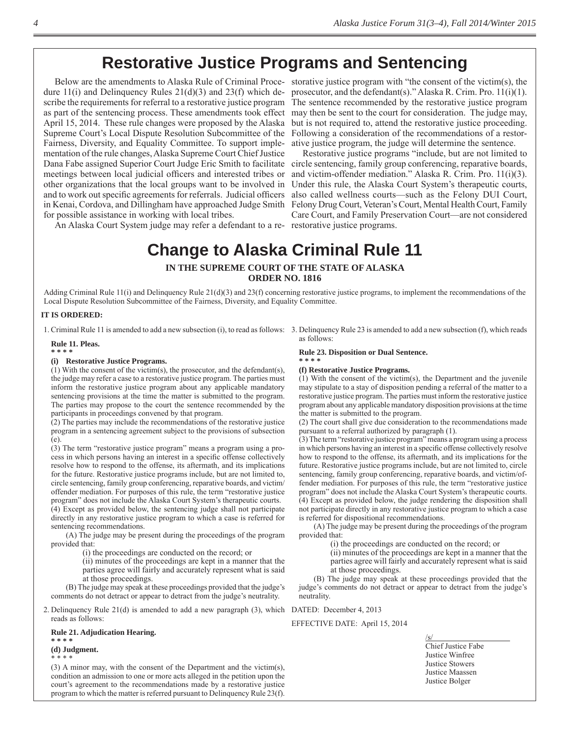# **Restorative Justice Programs and Sentencing**

dure 11(i) and Delinquency Rules 21(d)(3) and 23(f) which de- prosecutor, and the defendant(s)." Alaska R. Crim. Pro. 11(i)(1). scribe the requirements for referral to a restorative justice program The sentence recommended by the restorative justice program as part of the sentencing process. These amendments took effect April 15, 2014. These rule changes were proposed by the Alaska Supreme Court's Local Dispute Resolution Subcommittee of the Following a consideration of the recommendations of a restor-Fairness, Diversity, and Equality Committee. To support implementation of the rule changes, Alaska Supreme Court Chief Justice Dana Fabe assigned Superior Court Judge Eric Smith to facilitate circle sentencing, family group conferencing, reparative boards, meetings between local judicial officers and interested tribes or and victim-offender mediation." Alaska R. Crim. Pro. 11(i)(3). other organizations that the local groups want to be involved in and to work out specific agreements for referrals. Judicial officers also called wellness courts—such as the Felony DUI Court, in Kenai, Cordova, and Dillingham have approached Judge Smith Felony Drug Court, Veteran's Court, Mental Health Court, Family for possible assistance in working with local tribes.

Below are the amendments to Alaska Rule of Criminal Proce-storative justice program with "the consent of the victim(s), the may then be sent to the court for consideration. The judge may, but is not required to, attend the restorative justice proceeding. ative justice program, the judge will determine the sentence.

An Alaska Court System judge may refer a defendant to a re-restorative justice programs.Restorative justice programs "include, but are not limited to Under this rule, the Alaska Court System's therapeutic courts, Care Court, and Family Preservation Court—are not considered

**Change to Alaska Criminal Rule 11**

# **IN THE SUPREME COURT OF THE STATE OF ALASKA**

**ORDER NO. 1816**

Adding Criminal Rule 11(i) and Delinquency Rule  $21(d)(3)$  and  $23(f)$  concerning restorative justice programs, to implement the recommendations of the Local Dispute Resolution Subcommittee of the Fairness, Diversity, and Equality Committee.

#### **IT IS ORDERED:**

1. Criminal Rule 11 is amended to add a new subsection (i), to read as follows: 3. Delinquency Rule 23 is amended to add a new subsection (f), which reads

#### **Rule 11. Pleas.**

#### **\* \* \* \***

#### **(i) Restorative Justice Programs.**

(1) With the consent of the victim(s), the prosecutor, and the defendant(s), the judge may refer a case to a restorative justice program. The parties must inform the restorative justice program about any applicable mandatory sentencing provisions at the time the matter is submitted to the program. The parties may propose to the court the sentence recommended by the participants in proceedings convened by that program.

(2) The parties may include the recommendations of the restorative justice program in a sentencing agreement subject to the provisions of subsection (e).

(3) The term "restorative justice program" means a program using a process in which persons having an interest in a specific offense collectively resolve how to respond to the offense, its aftermath, and its implications for the future. Restorative justice programs include, but are not limited to, circle sentencing, family group conferencing, reparative boards, and victim/ offender mediation. For purposes of this rule, the term "restorative justice program" does not include the Alaska Court System's therapeutic courts. (4) Except as provided below, the sentencing judge shall not participate

directly in any restorative justice program to which a case is referred for sentencing recommendations.

 (A) The judge may be present during the proceedings of the program provided that:

(i) the proceedings are conducted on the record; or

(ii) minutes of the proceedings are kept in a manner that the parties agree will fairly and accurately represent what is said at those proceedings.

 (B) The judge may speak at these proceedings provided that the judge's comments do not detract or appear to detract from the judge's neutrality.

2. Delinquency Rule 21(d) is amended to add a new paragraph (3), which DATED: December 4, 2013 reads as follows:

#### **Rule 21. Adjudication Hearing.**

#### **\* \* \* \* (d) Judgment.**

\* \* \* \* (3) A minor may, with the consent of the Department and the victim(s), condition an admission to one or more acts alleged in the petition upon the court's agreement to the recommendations made by a restorative justice program to which the matter is referred pursuant to Delinquency Rule 23(f).

as follows:

#### **Rule 23. Disposition or Dual Sentence. \* \* \* \***

#### **(f) Restorative Justice Programs.**

(1) With the consent of the victim(s), the Department and the juvenile may stipulate to a stay of disposition pending a referral of the matter to a restorative justice program. The parties must inform the restorative justice program about any applicable mandatory disposition provisions at the time the matter is submitted to the program.

(2) The court shall give due consideration to the recommendations made pursuant to a referral authorized by paragraph (1).

(3) The term "restorative justice program" means a program using a process in which persons having an interest in a specific offense collectively resolve how to respond to the offense, its aftermath, and its implications for the future. Restorative justice programs include, but are not limited to, circle sentencing, family group conferencing, reparative boards, and victim/offender mediation. For purposes of this rule, the term "restorative justice program" does not include the Alaska Court System's therapeutic courts. (4) Except as provided below, the judge rendering the disposition shall not participate directly in any restorative justice program to which a case is referred for dispositional recommendations.

 (A) The judge may be present during the proceedings of the program provided that:

(i) the proceedings are conducted on the record; or

(ii) minutes of the proceedings are kept in a manner that the parties agree will fairly and accurately represent what is said at those proceedings.

 (B) The judge may speak at these proceedings provided that the judge's comments do not detract or appear to detract from the judge's neutrality.

EFFECTIVE DATE: April 15, 2014

/s/ Chief Justice Fabe Justice Winfree Justice Stowers Justice Maassen Justice Bolger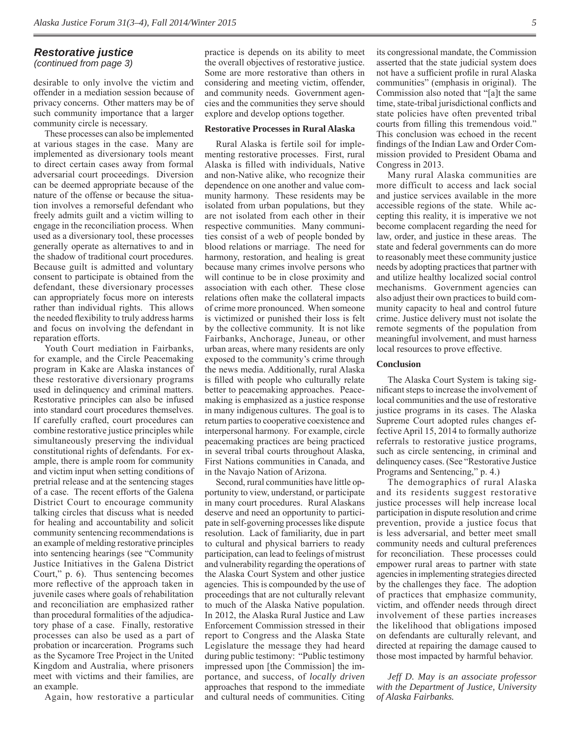### *Restorative justice*

*(continued from page 3)*

desirable to only involve the victim and offender in a mediation session because of privacy concerns. Other matters may be of such community importance that a larger community circle is necessary.

These processes can also be implemented at various stages in the case. Many are implemented as diversionary tools meant to direct certain cases away from formal adversarial court proceedings. Diversion can be deemed appropriate because of the nature of the offense or because the situation involves a remorseful defendant who freely admits guilt and a victim willing to engage in the reconciliation process. When used as a diversionary tool, these processes generally operate as alternatives to and in the shadow of traditional court procedures. Because guilt is admitted and voluntary consent to participate is obtained from the defendant, these diversionary processes can appropriately focus more on interests rather than individual rights. This allows the needed flexibility to truly address harms and focus on involving the defendant in reparation efforts.

Youth Court mediation in Fairbanks, for example, and the Circle Peacemaking program in Kake are Alaska instances of these restorative diversionary programs used in delinquency and criminal matters. Restorative principles can also be infused into standard court procedures themselves. If carefully crafted, court procedures can combine restorative justice principles while simultaneously preserving the individual constitutional rights of defendants. For example, there is ample room for community and victim input when setting conditions of pretrial release and at the sentencing stages of a case. The recent efforts of the Galena District Court to encourage community talking circles that discuss what is needed for healing and accountability and solicit community sentencing recommendations is an example of melding restorative principles into sentencing hearings (see "Community Justice Initiatives in the Galena District Court," p. 6). Thus sentencing becomes more reflective of the approach taken in juvenile cases where goals of rehabilitation and reconciliation are emphasized rather than procedural formalities of the adjudicatory phase of a case. Finally, restorative processes can also be used as a part of probation or incarceration. Programs such as the Sycamore Tree Project in the United Kingdom and Australia, where prisoners meet with victims and their families, are an example.

Again, how restorative a particular

practice is depends on its ability to meet the overall objectives of restorative justice. Some are more restorative than others in considering and meeting victim, offender, and community needs. Government agencies and the communities they serve should explore and develop options together.

#### **Restorative Processes in Rural Alaska**

Rural Alaska is fertile soil for implementing restorative processes. First, rural Alaska is filled with individuals, Native and non-Native alike, who recognize their dependence on one another and value community harmony. These residents may be isolated from urban populations, but they are not isolated from each other in their respective communities. Many communities consist of a web of people bonded by blood relations or marriage. The need for harmony, restoration, and healing is great because many crimes involve persons who will continue to be in close proximity and association with each other. These close relations often make the collateral impacts of crime more pronounced. When someone is victimized or punished their loss is felt by the collective community. It is not like Fairbanks, Anchorage, Juneau, or other urban areas, where many residents are only exposed to the community's crime through the news media. Additionally, rural Alaska is filled with people who culturally relate better to peacemaking approaches. Peacemaking is emphasized as a justice response in many indigenous cultures. The goal is to return parties to cooperative coexistence and interpersonal harmony. For example, circle peacemaking practices are being practiced in several tribal courts throughout Alaska, First Nations communities in Canada, and in the Navajo Nation of Arizona.

Second, rural communities have little opportunity to view, understand, or participate in many court procedures. Rural Alaskans deserve and need an opportunity to participate in self-governing processes like dispute resolution. Lack of familiarity, due in part to cultural and physical barriers to ready participation, can lead to feelings of mistrust and vulnerability regarding the operations of the Alaska Court System and other justice agencies. This is compounded by the use of proceedings that are not culturally relevant to much of the Alaska Native population. In 2012, the Alaska Rural Justice and Law Enforcement Commission stressed in their report to Congress and the Alaska State Legislature the message they had heard during public testimony: "Public testimony impressed upon [the Commission] the importance, and success, of *locally driven*  approaches that respond to the immediate and cultural needs of communities. Citing its congressional mandate, the Commission asserted that the state judicial system does not have a sufficient profile in rural Alaska communities" (emphasis in original). The Commission also noted that "[a]t the same time, state-tribal jurisdictional conflicts and state policies have often prevented tribal courts from filling this tremendous void." This conclusion was echoed in the recent findings of the Indian Law and Order Commission provided to President Obama and Congress in 2013.

Many rural Alaska communities are more difficult to access and lack social and justice services available in the more accessible regions of the state. While accepting this reality, it is imperative we not become complacent regarding the need for law, order, and justice in these areas. The state and federal governments can do more to reasonably meet these community justice needs by adopting practices that partner with and utilize healthy localized social control mechanisms. Government agencies can also adjust their own practices to build community capacity to heal and control future crime. Justice delivery must not isolate the remote segments of the population from meaningful involvement, and must harness local resources to prove effective.

#### **Conclusion**

The Alaska Court System is taking significant steps to increase the involvement of local communities and the use of restorative justice programs in its cases. The Alaska Supreme Court adopted rules changes effective April 15, 2014 to formally authorize referrals to restorative justice programs, such as circle sentencing, in criminal and delinquency cases. (See "Restorative Justice Programs and Sentencing," p. 4.)

The demographics of rural Alaska and its residents suggest restorative justice processes will help increase local participation in dispute resolution and crime prevention, provide a justice focus that is less adversarial, and better meet small community needs and cultural preferences for reconciliation. These processes could empower rural areas to partner with state agencies in implementing strategies directed by the challenges they face. The adoption of practices that emphasize community, victim, and offender needs through direct involvement of these parties increases the likelihood that obligations imposed on defendants are culturally relevant, and directed at repairing the damage caused to those most impacted by harmful behavior.

*Jeff D. May is an associate professor with the Department of Justice, University of Alaska Fairbanks.*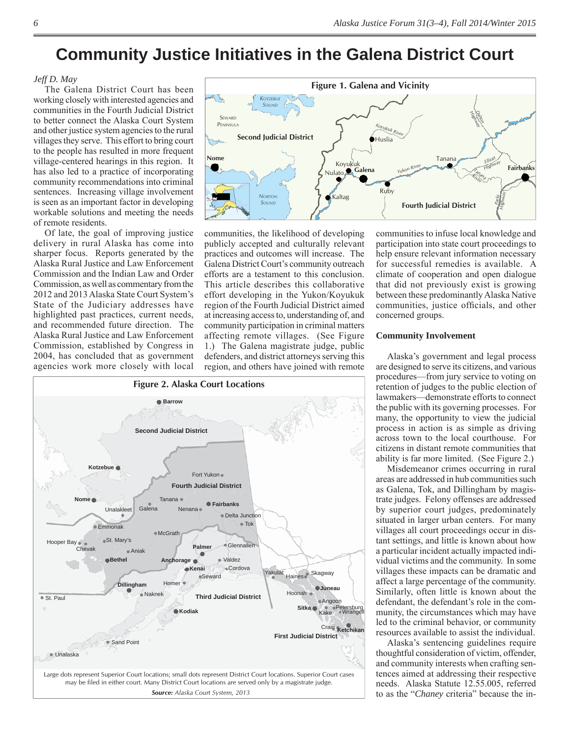# **Community Justice Initiatives in the Galena District Court**

#### *Jeff D. May*

The Galena District Court has been working closely with interested agencies and communities in the Fourth Judicial District to better connect the Alaska Court System and other justice system agencies to the rural villages they serve. This effort to bring court to the people has resulted in more frequent village-centered hearings in this region. It has also led to a practice of incorporating community recommendations into criminal sentences. Increasing village involvement is seen as an important factor in developing workable solutions and meeting the needs of remote residents.

Of late, the goal of improving justice delivery in rural Alaska has come into sharper focus. Reports generated by the Alaska Rural Justice and Law Enforcement Commission and the Indian Law and Order Commission, as well as commentary from the 2012 and 2013 Alaska State Court System's State of the Judiciary addresses have highlighted past practices, current needs, and recommended future direction. The Alaska Rural Justice and Law Enforcement Commission, established by Congress in 2004, has concluded that as government agencies work more closely with local



communities, the likelihood of developing publicly accepted and culturally relevant practices and outcomes will increase. The Galena District Court's community outreach efforts are a testament to this conclusion. This article describes this collaborative effort developing in the Yukon/Koyukuk region of the Fourth Judicial District aimed at increasing access to, understanding of, and community participation in criminal matters affecting remote villages. (See Figure 1.) The Galena magistrate judge, public defenders, and district attorneys serving this region, and others have joined with remote



communities to infuse local knowledge and participation into state court proceedings to help ensure relevant information necessary for successful remedies is available. A climate of cooperation and open dialogue that did not previously exist is growing between these predominantly Alaska Native communities, justice officials, and other concerned groups.

#### **Community Involvement**

Alaska's government and legal process are designed to serve its citizens, and various procedures—from jury service to voting on retention of judges to the public election of lawmakers—demonstrate efforts to connect the public with its governing processes. For many, the opportunity to view the judicial process in action is as simple as driving across town to the local courthouse. For citizens in distant remote communities that ability is far more limited. (See Figure 2.)

Misdemeanor crimes occurring in rural areas are addressed in hub communities such as Galena, Tok, and Dillingham by magistrate judges. Felony offenses are addressed by superior court judges, predominately situated in larger urban centers. For many villages all court proceedings occur in distant settings, and little is known about how a particular incident actually impacted individual victims and the community. In some villages these impacts can be dramatic and affect a large percentage of the community. Similarly, often little is known about the defendant, the defendant's role in the community, the circumstances which may have led to the criminal behavior, or community resources available to assist the individual.

Alaska's sentencing guidelines require thoughtful consideration of victim, offender, and community interests when crafting sentences aimed at addressing their respective needs. Alaska Statute 12.55.005, referred to as the "*Chaney* criteria" because the in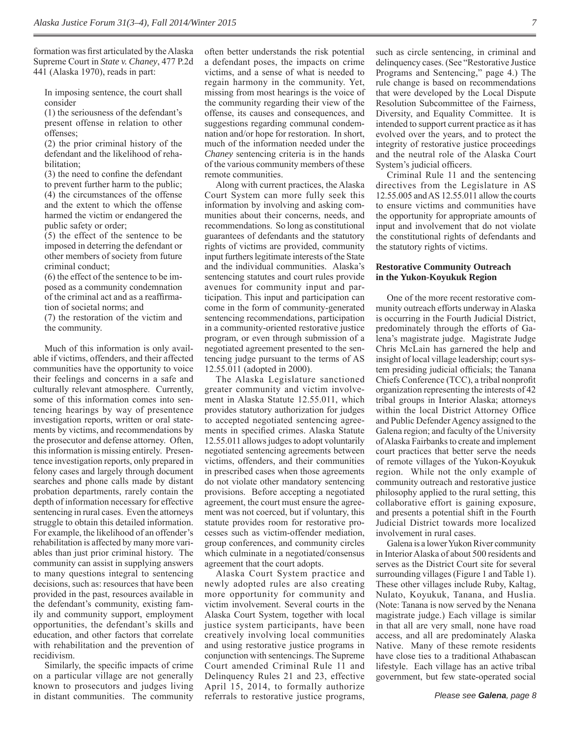formation was first articulated by the Alaska Supreme Court in *State v. Chaney*, 477 P.2d 441 (Alaska 1970), reads in part:

In imposing sentence, the court shall consider

(1) the seriousness of the defendant's present offense in relation to other offenses;

(2) the prior criminal history of the defendant and the likelihood of rehabilitation;

 $(3)$  the need to confine the defendant to prevent further harm to the public; (4) the circumstances of the offense and the extent to which the offense harmed the victim or endangered the public safety or order;

(5) the effect of the sentence to be imposed in deterring the defendant or other members of society from future criminal conduct;

(6) the effect of the sentence to be imposed as a community condemnation of the criminal act and as a reaffirmation of societal norms; and

(7) the restoration of the victim and the community.

Much of this information is only available if victims, offenders, and their affected communities have the opportunity to voice their feelings and concerns in a safe and culturally relevant atmosphere. Currently, some of this information comes into sentencing hearings by way of presentence investigation reports, written or oral statements by victims, and recommendations by the prosecutor and defense attorney. Often, this information is missing entirely. Presentence investigation reports, only prepared in felony cases and largely through document searches and phone calls made by distant probation departments, rarely contain the depth of information necessary for effective sentencing in rural cases. Even the attorneys struggle to obtain this detailed information. For example, the likelihood of an offender's rehabilitation is affected by many more variables than just prior criminal history. The community can assist in supplying answers to many questions integral to sentencing decisions, such as: resources that have been provided in the past, resources available in the defendant's community, existing family and community support, employment opportunities, the defendant's skills and education, and other factors that correlate with rehabilitation and the prevention of recidivism.

Similarly, the specific impacts of crime on a particular village are not generally known to prosecutors and judges living in distant communities. The community often better understands the risk potential a defendant poses, the impacts on crime victims, and a sense of what is needed to regain harmony in the community. Yet, missing from most hearings is the voice of the community regarding their view of the offense, its causes and consequences, and suggestions regarding communal condemnation and/or hope for restoration. In short, much of the information needed under the *Chaney* sentencing criteria is in the hands of the various community members of these remote communities.

Along with current practices, the Alaska Court System can more fully seek this information by involving and asking communities about their concerns, needs, and recommendations. So long as constitutional guarantees of defendants and the statutory rights of victims are provided, community input furthers legitimate interests of the State and the individual communities. Alaska's sentencing statutes and court rules provide avenues for community input and participation. This input and participation can come in the form of community-generated sentencing recommendations, participation in a community-oriented restorative justice program, or even through submission of a negotiated agreement presented to the sentencing judge pursuant to the terms of AS 12.55.011 (adopted in 2000).

The Alaska Legislature sanctioned greater community and victim involvement in Alaska Statute 12.55.011, which provides statutory authorization for judges to accepted negotiated sentencing agreements in specified crimes. Alaska Statute 12.55.011 allows judges to adopt voluntarily negotiated sentencing agreements between victims, offenders, and their communities in prescribed cases when those agreements do not violate other mandatory sentencing provisions. Before accepting a negotiated agreement, the court must ensure the agreement was not coerced, but if voluntary, this statute provides room for restorative processes such as victim-offender mediation, group conferences, and community circles which culminate in a negotiated/consensus agreement that the court adopts.

Alaska Court System practice and newly adopted rules are also creating more opportunity for community and victim involvement. Several courts in the Alaska Court System, together with local justice system participants, have been creatively involving local communities and using restorative justice programs in conjunction with sentencings. The Supreme Court amended Criminal Rule 11 and Delinquency Rules 21 and 23, effective April 15, 2014, to formally authorize referrals to restorative justice programs, such as circle sentencing, in criminal and delinquency cases. (See "Restorative Justice Programs and Sentencing," page 4.) The rule change is based on recommendations that were developed by the Local Dispute Resolution Subcommittee of the Fairness, Diversity, and Equality Committee. It is intended to support current practice as it has evolved over the years, and to protect the integrity of restorative justice proceedings and the neutral role of the Alaska Court System's judicial officers.

Criminal Rule 11 and the sentencing directives from the Legislature in AS 12.55.005 and AS 12.55.011 allow the courts to ensure victims and communities have the opportunity for appropriate amounts of input and involvement that do not violate the constitutional rights of defendants and the statutory rights of victims.

#### **Restorative Community Outreach in the Yukon-Koyukuk Region**

One of the more recent restorative community outreach efforts underway in Alaska is occurring in the Fourth Judicial District, predominately through the efforts of Galena's magistrate judge. Magistrate Judge Chris McLain has garnered the help and insight of local village leadership; court system presiding judicial officials; the Tanana Chiefs Conference (TCC), a tribal nonprofit organization representing the interests of 42 tribal groups in Interior Alaska; attorneys within the local District Attorney Office and Public Defender Agency assigned to the Galena region; and faculty of the University of Alaska Fairbanks to create and implement court practices that better serve the needs of remote villages of the Yukon-Koyukuk region. While not the only example of community outreach and restorative justice philosophy applied to the rural setting, this collaborative effort is gaining exposure, and presents a potential shift in the Fourth Judicial District towards more localized involvement in rural cases.

Galena is a lower Yukon River community in Interior Alaska of about 500 residents and serves as the District Court site for several surrounding villages (Figure 1 and Table 1). These other villages include Ruby, Kaltag, Nulato, Koyukuk, Tanana, and Huslia. (Note: Tanana is now served by the Nenana magistrate judge.) Each village is similar in that all are very small, none have road access, and all are predominately Alaska Native. Many of these remote residents have close ties to a traditional Athabascan lifestyle. Each village has an active tribal government, but few state-operated social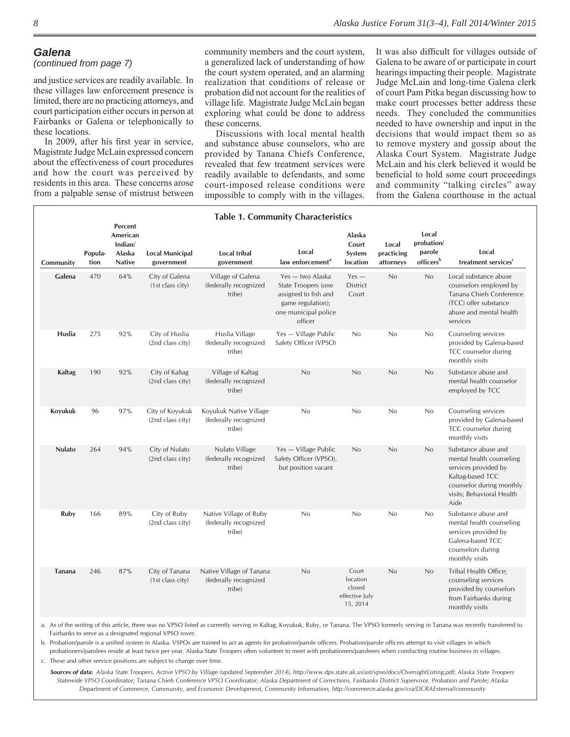#### *Galena*

#### *(continued from page 7)*

and justice services are readily available. In these villages law enforcement presence is limited, there are no practicing attorneys, and court participation either occurs in person at Fairbanks or Galena or telephonically to these locations.

In 2009, after his first year in service, Magistrate Judge McLain expressed concern about the effectiveness of court procedures and how the court was perceived by residents in this area. These concerns arose from a palpable sense of mistrust between

community members and the court system, a generalized lack of understanding of how the court system operated, and an alarming realization that conditions of release or probation did not account for the realities of village life. Magistrate Judge McLain began exploring what could be done to address these concerns.

Discussions with local mental health and substance abuse counselors, who are provided by Tanana Chiefs Conference, revealed that few treatment services were readily available to defendants, and some court-imposed release conditions were impossible to comply with in the villages.

It was also difficult for villages outside of Galena to be aware of or participate in court hearings impacting their people. Magistrate Judge McLain and long-time Galena clerk of court Pam Pitka began discussing how to make court processes better address these needs. They concluded the communities needed to have ownership and input in the decisions that would impact them so as to remove mystery and gossip about the Alaska Court System. Magistrate Judge McLain and his clerk believed it would be beneficial to hold some court proceedings and community "talking circles" away from the Galena courthouse in the actual

| <b>Table 1. Community Characteristics</b> |                 |                                                           |                                      |                                                             |                                                                                                                         |                                                           |                                  |                                                        |                                                                                                                                                              |  |  |  |
|-------------------------------------------|-----------------|-----------------------------------------------------------|--------------------------------------|-------------------------------------------------------------|-------------------------------------------------------------------------------------------------------------------------|-----------------------------------------------------------|----------------------------------|--------------------------------------------------------|--------------------------------------------------------------------------------------------------------------------------------------------------------------|--|--|--|
| Community                                 | Popula-<br>tion | Percent<br>American<br>Indian/<br>Alaska<br><b>Native</b> | <b>Local Municipal</b><br>government | <b>Local tribal</b><br>government                           | Local<br>law enforcement <sup>a</sup>                                                                                   | Alaska<br>Court<br>System<br>location                     | Local<br>practicing<br>attorneys | Local<br>probation/<br>parole<br>officers <sup>b</sup> | Local<br>treatment services <sup>c</sup>                                                                                                                     |  |  |  |
| Galena                                    | 470             | 64%                                                       | City of Galena<br>(1st class city)   | Village of Galena<br>(federally recognized<br>tribe)        | Yes — two Alaska<br>State Troopers (one<br>assigned to fish and<br>game regulation);<br>one municipal police<br>officer | $Yes -$<br>District<br>Court                              | No                               | No                                                     | Local substance abuse<br>counselors employed by<br>Tanana Chiefs Conference<br>(TCC) offer substance<br>abuse and mental health<br>services                  |  |  |  |
| Huslia                                    | 275             | 92%                                                       | City of Huslia<br>(2nd class city)   | Huslia Village<br>(federally recognized<br>tribe)           | Yes - Village Public<br>Safety Officer (VPSO)                                                                           | No                                                        | No                               | No                                                     | Counseling services<br>provided by Galena-based<br>TCC counselor during<br>monthly visits                                                                    |  |  |  |
| Kaltag                                    | 190             | 92%                                                       | City of Kaltag<br>(2nd class city)   | Village of Kaltag<br>(federally recognized<br>tribe)        | No                                                                                                                      | No                                                        | No                               | No                                                     | Substance abuse and<br>mental health counselor<br>employed by TCC                                                                                            |  |  |  |
| Koyukuk                                   | 96              | 97%                                                       | City of Koyukuk<br>(2nd class city)  | Koyukuk Native Village<br>(federally recognized<br>tribe)   | No                                                                                                                      | No                                                        | No                               | No                                                     | Counseling services<br>provided by Galena-based<br>TCC counselor during<br>monthly visits                                                                    |  |  |  |
| <b>Nulato</b>                             | 264             | 94%                                                       | City of Nulato<br>(2nd class city)   | Nulato Village<br>(federally recognized<br>tribe)           | Yes - Village Public<br>Safety Officer (VPSO),<br>but position vacant                                                   | No                                                        | No                               | No                                                     | Substance abuse and<br>mental health counseling<br>services provided by<br>Kaltag-based TCC<br>counselor during monthly<br>visits; Behavioral Health<br>Aide |  |  |  |
| Ruby                                      | 166             | 89%                                                       | City of Ruby<br>(2nd class city)     | Native Village of Ruby<br>(federally recognized<br>tribe)   | No                                                                                                                      | No                                                        | No                               | No                                                     | Substance abuse and<br>mental health counseling<br>services provided by<br>Galena-based TCC<br>counselors during<br>monthly visits                           |  |  |  |
| <b>Tanana</b>                             | 246             | 87%                                                       | City of Tanana<br>(1st class city)   | Native Village of Tanana<br>(federally recognized<br>tribe) | No                                                                                                                      | Court<br>location<br>closed<br>effective July<br>15, 2014 | No                               | No                                                     | Tribal Health Office;<br>counseling services<br>provided by counselors<br>from Fairbanks during<br>monthly visits                                            |  |  |  |

a. As of the writing of this article, there was no VPSO listed as currently serving in Kaltag, Koyukuk, Ruby, or Tanana. The VPSO formerly serving in Tanana was recently transferred to Fairbanks to serve as a designated regional VPSO rover.

b. Probation/parole is a unified system in Alaska. VSPOs are trained to act as agents for probation/parole officers. Probation/parole officers attempt to visit villages in which c. These and other service positions are subject to change over time.probationers/parolees reside at least twice per year. Alaska State Troopers often volunteer to meet with probationers/paroleees when conducting routine business in villages.

*Sources of data: Alaska State Troopers, Active VPSO by Village (updated September 2014), http://www.dps.state.ak.us/ast/vpso/docs/OversightListing.pdf; Alaska State Troopers Statewide VPSO Coordinator; Tanana Chiefs Conference VPSO Coordinator; Alaska Department of Corrections, Fairbanks District Supervisor, Probation and Parole; Alaska Department of Commerce, Community, and Economic Development, Community Information, http://commerce.alaska.gov/cra/DCRAExternal/community*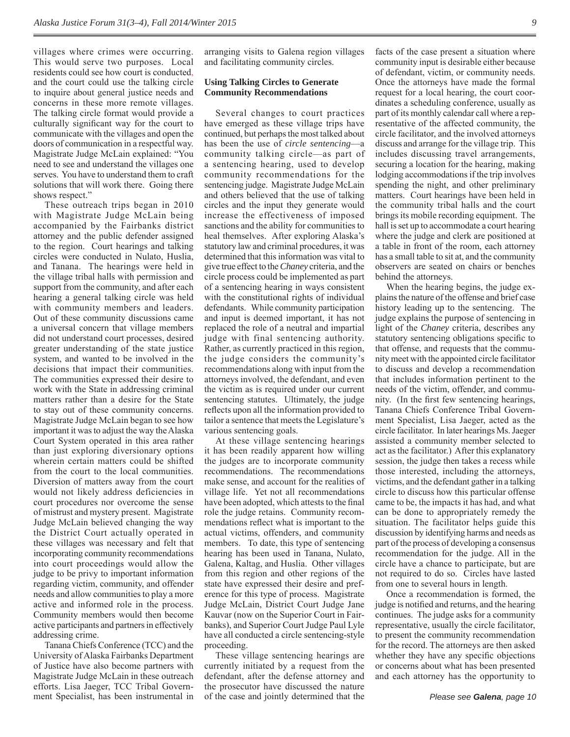villages where crimes were occurring. This would serve two purposes. Local residents could see how court is conducted, and the court could use the talking circle to inquire about general justice needs and concerns in these more remote villages. The talking circle format would provide a culturally significant way for the court to communicate with the villages and open the doors of communication in a respectful way. Magistrate Judge McLain explained: "You need to see and understand the villages one serves. You have to understand them to craft solutions that will work there. Going there shows respect."

These outreach trips began in 2010 with Magistrate Judge McLain being accompanied by the Fairbanks district attorney and the public defender assigned to the region. Court hearings and talking circles were conducted in Nulato, Huslia, and Tanana. The hearings were held in the village tribal halls with permission and support from the community, and after each hearing a general talking circle was held with community members and leaders. Out of these community discussions came a universal concern that village members did not understand court processes, desired greater understanding of the state justice system, and wanted to be involved in the decisions that impact their communities. The communities expressed their desire to work with the State in addressing criminal matters rather than a desire for the State to stay out of these community concerns. Magistrate Judge McLain began to see how important it was to adjust the way the Alaska Court System operated in this area rather than just exploring diversionary options wherein certain matters could be shifted from the court to the local communities. Diversion of matters away from the court would not likely address deficiencies in court procedures nor overcome the sense of mistrust and mystery present. Magistrate Judge McLain believed changing the way the District Court actually operated in these villages was necessary and felt that incorporating community recommendations into court proceedings would allow the judge to be privy to important information regarding victim, community, and offender needs and allow communities to play a more active and informed role in the process. Community members would then become active participants and partners in effectively addressing crime.

Tanana Chiefs Conference (TCC) and the University of Alaska Fairbanks Department of Justice have also become partners with Magistrate Judge McLain in these outreach efforts. Lisa Jaeger, TCC Tribal Government Specialist, has been instrumental in

arranging visits to Galena region villages and facilitating community circles.

#### **Using Talking Circles to Generate Community Recommendations**

Several changes to court practices have emerged as these village trips have continued, but perhaps the most talked about has been the use of *circle sentencing*—a community talking circle—as part of a sentencing hearing, used to develop community recommendations for the sentencing judge. Magistrate Judge McLain and others believed that the use of talking circles and the input they generate would increase the effectiveness of imposed sanctions and the ability for communities to heal themselves. After exploring Alaska's statutory law and criminal procedures, it was determined that this information was vital to give true effect to the *Chaney* criteria, and the circle process could be implemented as part of a sentencing hearing in ways consistent with the constitutional rights of individual defendants. While community participation and input is deemed important, it has not replaced the role of a neutral and impartial judge with final sentencing authority. Rather, as currently practiced in this region, the judge considers the community's recommendations along with input from the attorneys involved, the defendant, and even the victim as is required under our current sentencing statutes. Ultimately, the judge reflects upon all the information provided to tailor a sentence that meets the Legislature's various sentencing goals.

At these village sentencing hearings it has been readily apparent how willing the judges are to incorporate community recommendations. The recommendations make sense, and account for the realities of village life. Yet not all recommendations have been adopted, which attests to the final role the judge retains. Community recommendations reflect what is important to the actual victims, offenders, and community members. To date, this type of sentencing hearing has been used in Tanana, Nulato, Galena, Kaltag, and Huslia. Other villages from this region and other regions of the state have expressed their desire and preference for this type of process. Magistrate Judge McLain, District Court Judge Jane Kauvar (now on the Superior Court in Fairbanks), and Superior Court Judge Paul Lyle have all conducted a circle sentencing-style proceeding.

These village sentencing hearings are currently initiated by a request from the defendant, after the defense attorney and the prosecutor have discussed the nature of the case and jointly determined that the facts of the case present a situation where community input is desirable either because of defendant, victim, or community needs. Once the attorneys have made the formal request for a local hearing, the court coordinates a scheduling conference, usually as part of its monthly calendar call where a representative of the affected community, the circle facilitator, and the involved attorneys discuss and arrange for the village trip. This includes discussing travel arrangements, securing a location for the hearing, making lodging accommodations if the trip involves spending the night, and other preliminary matters. Court hearings have been held in the community tribal halls and the court brings its mobile recording equipment. The hall is set up to accommodate a court hearing where the judge and clerk are positioned at a table in front of the room, each attorney has a small table to sit at, and the community observers are seated on chairs or benches behind the attorneys.

When the hearing begins, the judge explains the nature of the offense and brief case history leading up to the sentencing. The judge explains the purpose of sentencing in light of the *Chaney* criteria, describes any statutory sentencing obligations specific to that offense, and requests that the community meet with the appointed circle facilitator to discuss and develop a recommendation that includes information pertinent to the needs of the victim, offender, and community. (In the first few sentencing hearings, Tanana Chiefs Conference Tribal Government Specialist, Lisa Jaeger, acted as the circle facilitator. In later hearings Ms. Jaeger assisted a community member selected to act as the facilitator.) After this explanatory session, the judge then takes a recess while those interested, including the attorneys, victims, and the defendant gather in a talking circle to discuss how this particular offense came to be, the impacts it has had, and what can be done to appropriately remedy the situation. The facilitator helps guide this discussion by identifying harms and needs as part of the process of developing a consensus recommendation for the judge. All in the circle have a chance to participate, but are not required to do so. Circles have lasted from one to several hours in length.

Once a recommendation is formed, the judge is notified and returns, and the hearing continues. The judge asks for a community representative, usually the circle facilitator, to present the community recommendation for the record. The attorneys are then asked whether they have any specific objections or concerns about what has been presented and each attorney has the opportunity to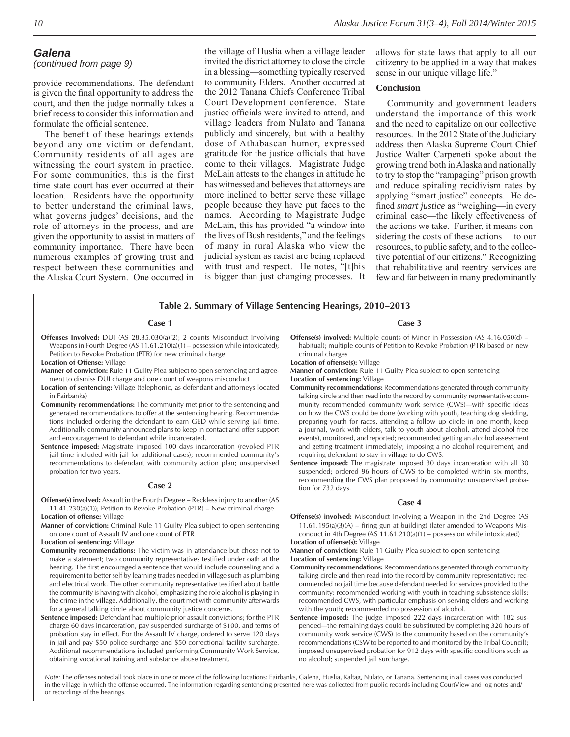#### *(continued from page 9)*

provide recommendations. The defendant is given the final opportunity to address the court, and then the judge normally takes a brief recess to consider this information and formulate the official sentence.

The benefit of these hearings extends beyond any one victim or defendant. Community residents of all ages are witnessing the court system in practice. For some communities, this is the first time state court has ever occurred at their location. Residents have the opportunity to better understand the criminal laws, what governs judges' decisions, and the role of attorneys in the process, and are given the opportunity to assist in matters of community importance. There have been numerous examples of growing trust and respect between these communities and the Alaska Court System. One occurred in

the village of Huslia when a village leader invited the district attorney to close the circle in a blessing—something typically reserved to community Elders. Another occurred at the 2012 Tanana Chiefs Conference Tribal Court Development conference. State justice officials were invited to attend, and village leaders from Nulato and Tanana publicly and sincerely, but with a healthy dose of Athabascan humor, expressed gratitude for the justice officials that have come to their villages. Magistrate Judge McLain attests to the changes in attitude he has witnessed and believes that attorneys are more inclined to better serve these village people because they have put faces to the names. According to Magistrate Judge McLain, this has provided "a window into the lives of Bush residents," and the feelings of many in rural Alaska who view the judicial system as racist are being replaced with trust and respect. He notes, "[t]his is bigger than just changing processes. It

allows for state laws that apply to all our citizenry to be applied in a way that makes sense in our unique village life."

#### **Conclusion**

Community and government leaders understand the importance of this work and the need to capitalize on our collective resources. In the 2012 State of the Judiciary address then Alaska Supreme Court Chief Justice Walter Carpeneti spoke about the growing trend both in Alaska and nationally to try to stop the "rampaging" prison growth and reduce spiraling recidivism rates by applying "smart justice" concepts. He defined *smart justice* as "weighing—in every criminal case—the likely effectiveness of the actions we take. Further, it means considering the costs of these actions— to our resources, to public safety, and to the collective potential of our citizens." Recognizing that rehabilitative and reentry services are few and far between in many predominantly

#### **Table 2. Summary of Village Sentencing Hearings, 2010–2013**

#### **Case 1**

- **Offenses Involved:** DUI (AS 28.35.030(a)(2); 2 counts Misconduct Involving Weapons in Fourth Degree (AS 11.61.210(a)(1) – possession while intoxicated); Petition to Revoke Probation (PTR) for new criminal charge
- **Location of Offense:** Village
- **Manner of conviction:** Rule 11 Guilty Plea subject to open sentencing and agreement to dismiss DUI charge and one count of weapons misconduct
- **Location of sentencing:** Village (telephonic, as defendant and attorneys located in Fairbanks)
- **Community recommendations:** The community met prior to the sentencing and generated recommendations to offer at the sentencing hearing. Recommendations included ordering the defendant to earn GED while serving jail time. Additionally community announced plans to keep in contact and offer support and encouragement to defendant while incarcerated.
- **Sentence imposed:** Magistrate imposed 100 days incarceration (revoked PTR jail time included with jail for additional cases); recommended community's recommendations to defendant with community action plan; unsupervised probation for two years.

#### **Case 2**

- **Offense(s) involved:** Assault in the Fourth Degree Reckless injury to another (AS 11.41.230(a)(1)); Petition to Revoke Probation (PTR) – New criminal charge. **Location of offense:** Village
- **Manner of conviction:** Criminal Rule 11 Guilty Plea subject to open sentencing on one count of Assault IV and one count of PTR

**Location of sentencing:** Village

- **Community recommendations:** The victim was in attendance but chose not to make a statement; two community representatives testified under oath at the hearing. The first encouraged a sentence that would include counseling and a requirement to better self by learning trades needed in village such as plumbing and electrical work. The other community representative testified about battle the community is having with alcohol, emphasizing the role alcohol is playing in the crime in the village. Additionally, the court met with community afterwards for a general talking circle about community justice concerns.
- **Sentence imposed:** Defendant had multiple prior assault convictions; for the PTR charge 60 days incarceration, pay suspended surcharge of \$100, and terms of probation stay in effect. For the Assault IV charge, ordered to serve 120 days in jail and pay \$50 police surcharge and \$50 correctional facility surcharge. Additional recommendations included performing Community Work Service, obtaining vocational training and substance abuse treatment.

#### **Case 3**

- **Offense(s) involved:** Multiple counts of Minor in Possession (AS 4.16.050(d) habitual); multiple counts of Petition to Revoke Probation (PTR) based on new criminal charges
- **Location of offense(s):** Village

**Manner of conviction:** Rule 11 Guilty Plea subject to open sentencing **Location of sentencing:** Village

- **Community recommendations:** Recommendations generated through community talking circle and then read into the record by community representative; community recommended community work service (CWS)-with specific ideas on how the CWS could be done (working with youth, teaching dog sledding, preparing youth for races, attending a follow up circle in one month, keep a journal, work with elders, talk to youth about alcohol, attend alcohol free events), monitored, and reported; recommended getting an alcohol assessment and getting treatment immediately; imposing a no alcohol requirement, and requiring defendant to stay in village to do CWS.
- **Sentence imposed:** The magistrate imposed 30 days incarceration with all 30 suspended; ordered 96 hours of CWS to be completed within six months, recommending the CWS plan proposed by community; unsupervised probation for 732 days.

#### **Case 4**

**Offense(s) involved:** Misconduct Involving a Weapon in the 2nd Degree (AS  $11.61.195(a)(3)(A)$  – firing gun at building) (later amended to Weapons Misconduct in 4th Degree (AS 11.61.210(a)(1) – possession while intoxicated) **Location of offense(s):** Village

**Manner of conviction:** Rule 11 Guilty Plea subject to open sentencing **Location of sentencing:** Village

- **Community recommendations:** Recommendations generated through community talking circle and then read into the record by community representative; recommended no jail time because defendant needed for services provided to the community; recommended working with youth in teaching subsistence skills; recommended CWS, with particular emphasis on serving elders and working with the youth; recommended no possession of alcohol.
- **Sentence imposed:** The judge imposed 222 days incarceration with 182 suspended—the remaining days could be substituted by completing 320 hours of community work service (CWS) to the community based on the community's recommendations (CSW to be reported to and monitored by the Tribal Council); imposed unsupervised probation for 912 days with specific conditions such as no alcohol; suspended jail surcharge.

*Note:* The offenses noted all took place in one or more of the following locations: Fairbanks, Galena, Huslia, Kaltag, Nulato, or Tanana. Sentencing in all cases was conducted in the village in which the offense occurred. The information regarding sentencing presented here was collected from public records including CourtView and log notes and/ or recordings of the hearings.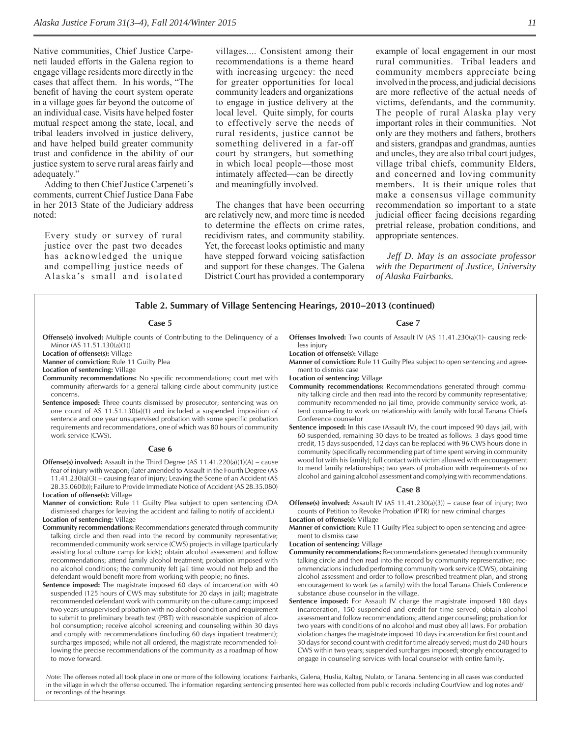Native communities, Chief Justice Carpeneti lauded efforts in the Galena region to engage village residents more directly in the cases that affect them. In his words, "The benefit of having the court system operate in a village goes far beyond the outcome of an individual case. Visits have helped foster mutual respect among the state, local, and tribal leaders involved in justice delivery, and have helped build greater community trust and confidence in the ability of our justice system to serve rural areas fairly and adequately."

Adding to then Chief Justice Carpeneti's comments, current Chief Justice Dana Fabe in her 2013 State of the Judiciary address noted:

Every study or survey of rural justice over the past two decades has acknowledged the unique and compelling justice needs of Alaska's small and isolated

villages.... Consistent among their recommendations is a theme heard with increasing urgency: the need for greater opportunities for local community leaders and organizations to engage in justice delivery at the local level. Quite simply, for courts to effectively serve the needs of rural residents, justice cannot be something delivered in a far-off court by strangers, but something in which local people—those most intimately affected—can be directly and meaningfully involved.

The changes that have been occurring are relatively new, and more time is needed to determine the effects on crime rates, recidivism rates, and community stability. Yet, the forecast looks optimistic and many have stepped forward voicing satisfaction and support for these changes. The Galena District Court has provided a contemporary

example of local engagement in our most rural communities. Tribal leaders and community members appreciate being involved in the process, and judicial decisions are more reflective of the actual needs of victims, defendants, and the community. The people of rural Alaska play very important roles in their communities. Not only are they mothers and fathers, brothers and sisters, grandpas and grandmas, aunties and uncles, they are also tribal court judges, village tribal chiefs, community Elders, and concerned and loving community members. It is their unique roles that make a consensus village community recommendation so important to a state judicial officer facing decisions regarding pretrial release, probation conditions, and appropriate sentences.

*Jeff D. May is an associate professor with the Department of Justice, University of Alaska Fairbanks.* 

#### **Table 2. Summary of Village Sentencing Hearings, 2010–2013 (continued)**

#### **Case 5**

- **Offense(s) involved:** Multiple counts of Contributing to the Delinquency of a Minor (AS 11.51.130(a)(1))
- **Location of offense(s):** Village
- **Manner of conviction:** Rule 11 Guilty Plea

**Location of sentencing:** Village

- **Community recommendations:** No specific recommendations; court met with community afterwards for a general talking circle about community justice concerns.
- **Sentence imposed:** Three counts dismissed by prosecutor; sentencing was on one count of AS 11.51.130(a)(1) and included a suspended imposition of sentence and one year unsupervised probation with some specific probation requirements and recommendations, one of which was 80 hours of community work service (CWS).

#### **Case 6**

- **Offense(s) involved:** Assault in the Third Degree (AS 11.41.220(a)(1)(A) cause fear of injury with weapon; (later amended to Assault in the Fourth Degree (AS 11.41.230(a)(3) – causing fear of injury; Leaving the Scene of an Accident (AS 28.35.060(b)); Failure to Provide Immediate Notice of Accident (AS 28.35.080) **Location of offense(s):** Village
- **Manner of conviction:** Rule 11 Guilty Plea subject to open sentencing (DA dismissed charges for leaving the accident and failing to notify of accident.) **Location of sentencing:** Village
- **Community recommendations:** Recommendations generated through community talking circle and then read into the record by community representative; recommended community work service (CWS) projects in village (particularly assisting local culture camp for kids); obtain alcohol assessment and follow recommendations; attend family alcohol treatment; probation imposed with no alcohol conditions; the community felt jail time would not help and the defendant would benefit more from working with people; no fines.
- **Sentence imposed:** The magistrate imposed 60 days of incarceration with 40 suspended (125 hours of CWS may substitute for 20 days in jail); magistrate recommended defendant work with community on the culture camp; imposed two years unsupervised probation with no alcohol condition and requirement to submit to preliminary breath test (PBT) with reasonable suspicion of alcohol consumption; receive alcohol screening and counseling within 30 days and comply with recommendations (including 60 days inpatient treatment); surcharges imposed; while not all ordered, the magistrate recommended following the precise recommendations of the community as a roadmap of how to move forward.

#### **Case 7**

- **Offenses Involved:** Two counts of Assault IV (AS 11.41.230(a)(1)- causing reckless injury
- **Location of offense(s):** Village
- **Manner of conviction:** Rule 11 Guilty Plea subject to open sentencing and agreement to dismiss case

**Location of sentencing:** Village

- **Community recommendations:** Recommendations generated through community talking circle and then read into the record by community representative; community recommended no jail time, provide community service work, attend counseling to work on relationship with family with local Tanana Chiefs Conference counselor
- **Sentence imposed:** In this case (Assault IV), the court imposed 90 days jail, with 60 suspended, remaining 30 days to be treated as follows: 3 days good time credit, 15 days suspended, 12 days can be replaced with 96 CWS hours done in community (specifically recommending part of time spent serving in community wood lot with his family); full contact with victim allowed with encouragement to mend family relationships; two years of probation with requirements of no alcohol and gaining alcohol assessment and complying with recommendations.

#### **Case 8**

- **Offense(s) involved:** Assault IV (AS 11.41.230(a)(3)) cause fear of injury; two counts of Petition to Revoke Probation (PTR) for new criminal charges **Location of offense(s):** Village
- **Manner of conviction:** Rule 11 Guilty Plea subject to open sentencing and agreement to dismiss case

**Location of sentencing:** Village

- **Community recommendations:** Recommendations generated through community talking circle and then read into the record by community representative; recommendations included performing community work service (CWS), obtaining alcohol assessment and order to follow prescribed treatment plan, and strong encouragement to work (as a family) with the local Tanana Chiefs Conference substance abuse counselor in the village.
- **Sentence imposed:** For Assault IV charge the magistrate imposed 180 days incarceration, 150 suspended and credit for time served; obtain alcohol assessment and follow recommendations; attend anger counseling; probation for two years with conditions of no alcohol and must obey all laws. For probation violation charges the magistrate imposed 10 days incarceration for first count and 30 days for second count with credit for time already served; must do 240 hours CWS within two years; suspended surcharges imposed; strongly encouraged to engage in counseling services with local counselor with entire family.

*Note:* The offenses noted all took place in one or more of the following locations: Fairbanks, Galena, Huslia, Kaltag, Nulato, or Tanana. Sentencing in all cases was conducted in the village in which the offense occurred. The information regarding sentencing presented here was collected from public records including CourtView and log notes and/ or recordings of the hearings.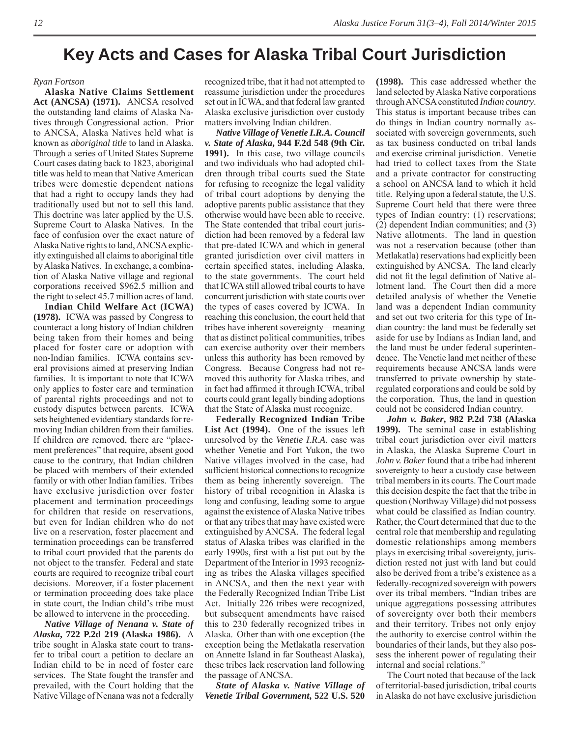### **Key Acts and Cases for Alaska Tribal Court Jurisdiction**

#### *Ryan Fortson*

**Alaska Native Claims Settlement Act (ANCSA) (1971).** ANCSA resolved the outstanding land claims of Alaska Natives through Congressional action. Prior to ANCSA, Alaska Natives held what is known as *aboriginal title* to land in Alaska. Through a series of United States Supreme Court cases dating back to 1823, aboriginal title was held to mean that Native American tribes were domestic dependent nations that had a right to occupy lands they had traditionally used but not to sell this land. This doctrine was later applied by the U.S. Supreme Court to Alaska Natives. In the face of confusion over the exact nature of Alaska Native rights to land, ANCSA explicitly extinguished all claims to aboriginal title by Alaska Natives. In exchange, a combination of Alaska Native village and regional corporations received \$962.5 million and the right to select 45.7 million acres of land.

**Indian Child Welfare Act (ICWA) (1978).** ICWA was passed by Congress to counteract a long history of Indian children being taken from their homes and being placed for foster care or adoption with non-Indian families. ICWA contains several provisions aimed at preserving Indian families. It is important to note that ICWA only applies to foster care and termination of parental rights proceedings and not to custody disputes between parents. ICWA sets heightened evidentiary standards for removing Indian children from their families. If children *are* removed, there are "placement preferences" that require, absent good cause to the contrary, that Indian children be placed with members of their extended family or with other Indian families. Tribes have exclusive jurisdiction over foster placement and termination proceedings for children that reside on reservations, but even for Indian children who do not live on a reservation, foster placement and termination proceedings can be transferred to tribal court provided that the parents do not object to the transfer. Federal and state courts are required to recognize tribal court decisions. Moreover, if a foster placement or termination proceeding does take place in state court, the Indian child's tribe must be allowed to intervene in the proceeding.

*Native Village of Nenana v. State of Alaska***, 722 P.2d 219 (Alaska 1986).** A tribe sought in Alaska state court to transfer to tribal court a petition to declare an Indian child to be in need of foster care services. The State fought the transfer and prevailed, with the Court holding that the Native Village of Nenana was not a federally

recognized tribe, that it had not attempted to reassume jurisdiction under the procedures set out in ICWA, and that federal law granted Alaska exclusive jurisdiction over custody matters involving Indian children.

*Native Village of Venetie I.R.A. Council v. State of Alaska***, 944 F.2d 548 (9th Cir. 1991).** In this case, two village councils and two individuals who had adopted children through tribal courts sued the State for refusing to recognize the legal validity of tribal court adoptions by denying the adoptive parents public assistance that they otherwise would have been able to receive. The State contended that tribal court jurisdiction had been removed by a federal law that pre-dated ICWA and which in general granted jurisdiction over civil matters in certain specified states, including Alaska, to the state governments. The court held that ICWA still allowed tribal courts to have concurrent jurisdiction with state courts over the types of cases covered by ICWA. In reaching this conclusion, the court held that tribes have inherent sovereignty—meaning that as distinct political communities, tribes can exercise authority over their members unless this authority has been removed by Congress. Because Congress had not removed this authority for Alaska tribes, and in fact had affirmed it through ICWA, tribal courts could grant legally binding adoptions that the State of Alaska must recognize.

**Federally Recognized Indian Tribe List Act (1994).** One of the issues left unresolved by the *Venetie I.R.A.* case was whether Venetie and Fort Yukon, the two Native villages involved in the case, had sufficient historical connections to recognize them as being inherently sovereign. The history of tribal recognition in Alaska is long and confusing, leading some to argue against the existence of Alaska Native tribes or that any tribes that may have existed were extinguished by ANCSA. The federal legal status of Alaska tribes was clarified in the early 1990s, first with a list put out by the Department of the Interior in 1993 recognizing as tribes the Alaska villages specified in ANCSA, and then the next year with the Federally Recognized Indian Tribe List Act. Initially 226 tribes were recognized, but subsequent amendments have raised this to 230 federally recognized tribes in Alaska. Other than with one exception (the exception being the Metlakatla reservation on Annette Island in far Southeast Alaska), these tribes lack reservation land following the passage of ANCSA.

*State of Alaska v. Native Village of Venetie Tribal Government***, 522 U.S. 520** 

**(1998).** This case addressed whether the land selected by Alaska Native corporations through ANCSA constituted *Indian country*. This status is important because tribes can do things in Indian country normally associated with sovereign governments, such as tax business conducted on tribal lands and exercise criminal jurisdiction. Venetie had tried to collect taxes from the State and a private contractor for constructing a school on ANCSA land to which it held title. Relying upon a federal statute, the U.S. Supreme Court held that there were three types of Indian country: (1) reservations; (2) dependent Indian communities; and (3) Native allotments. The land in question was not a reservation because (other than Metlakatla) reservations had explicitly been extinguished by ANCSA. The land clearly did not fit the legal definition of Native allotment land. The Court then did a more detailed analysis of whether the Venetie land was a dependent Indian community and set out two criteria for this type of Indian country: the land must be federally set aside for use by Indians as Indian land, and the land must be under federal superintendence. The Venetie land met neither of these requirements because ANCSA lands were transferred to private ownership by stateregulated corporations and could be sold by the corporation. Thus, the land in question could not be considered Indian country.

*John v. Baker***, 982 P.2d 738 (Alaska 1999).** The seminal case in establishing tribal court jurisdiction over civil matters in Alaska, the Alaska Supreme Court in *John v. Baker* found that a tribe had inherent sovereignty to hear a custody case between tribal members in its courts. The Court made this decision despite the fact that the tribe in question (Northway Village) did not possess what could be classified as Indian country. Rather, the Court determined that due to the central role that membership and regulating domestic relationships among members plays in exercising tribal sovereignty, jurisdiction rested not just with land but could also be derived from a tribe's existence as a federally-recognized sovereign with powers over its tribal members. "Indian tribes are unique aggregations possessing attributes of sovereignty over both their members and their territory. Tribes not only enjoy the authority to exercise control within the boundaries of their lands, but they also possess the inherent power of regulating their internal and social relations.'

The Court noted that because of the lack of territorial-based jurisdiction, tribal courts in Alaska do not have exclusive jurisdiction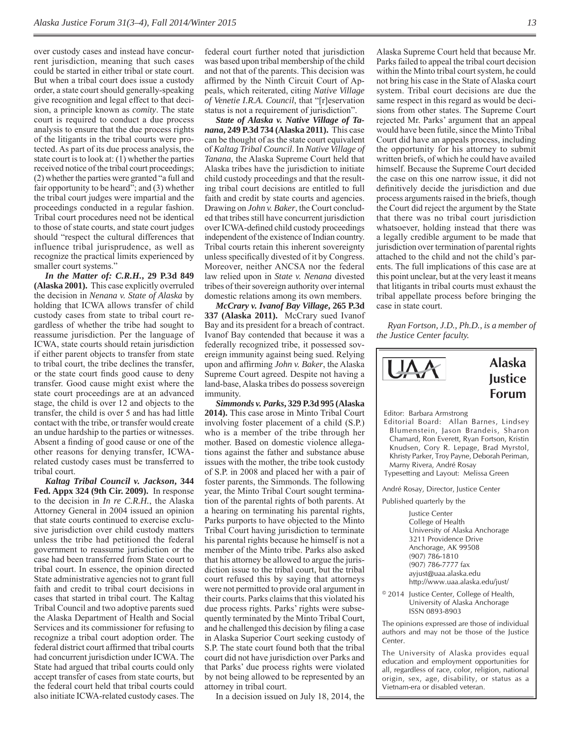over custody cases and instead have concurrent jurisdiction, meaning that such cases could be started in either tribal or state court. But when a tribal court does issue a custody order, a state court should generally-speaking give recognition and legal effect to that decision, a principle known as *comity*. The state court is required to conduct a due process analysis to ensure that the due process rights of the litigants in the tribal courts were protected. As part of its due process analysis, the state court is to look at: (1) whether the parties received notice of the tribal court proceedings; (2) whether the parties were granted "a full and fair opportunity to be heard"; and (3) whether the tribal court judges were impartial and the proceedings conducted in a regular fashion. Tribal court procedures need not be identical to those of state courts, and state court judges should "respect the cultural differences that influence tribal jurisprudence, as well as recognize the practical limits experienced by smaller court systems."

*In the Matter of: C.R.H.***, 29 P.3d 849 (Alaska 2001).** This case explicitly overruled the decision in *Nenana v. State of Alaska* by holding that ICWA allows transfer of child custody cases from state to tribal court regardless of whether the tribe had sought to reassume jurisdiction. Per the language of ICWA, state courts should retain jurisdiction if either parent objects to transfer from state to tribal court, the tribe declines the transfer, or the state court finds good cause to deny transfer. Good cause might exist where the state court proceedings are at an advanced stage, the child is over 12 and objects to the transfer, the child is over 5 and has had little contact with the tribe, or transfer would create an undue hardship to the parties or witnesses. Absent a finding of good cause or one of the other reasons for denying transfer, ICWArelated custody cases must be transferred to tribal court.

*Kaltag Tribal Council v. Jackson***, 344 Fed. Appx 324 (9th Cir. 2009).** In response to the decision in *In re C.R.H.*, the Alaska Attorney General in 2004 issued an opinion that state courts continued to exercise exclusive jurisdiction over child custody matters unless the tribe had petitioned the federal government to reassume jurisdiction or the case had been transferred from State court to tribal court. In essence, the opinion directed State administrative agencies not to grant full faith and credit to tribal court decisions in cases that started in tribal court. The Kaltag Tribal Council and two adoptive parents sued the Alaska Department of Health and Social Services and its commissioner for refusing to recognize a tribal court adoption order. The federal district court affirmed that tribal courts had concurrent jurisdiction under ICWA. The State had argued that tribal courts could only accept transfer of cases from state courts, but the federal court held that tribal courts could also initiate ICWA-related custody cases. The

federal court further noted that jurisdiction was based upon tribal membership of the child and not that of the parents. This decision was affirmed by the Ninth Circuit Court of Appeals, which reiterated, citing *Native Village of Venetie I.R.A. Council*, that "[r]eservation status is not a requirement of jurisdiction".

*State of Alaska v. Native Village of Tanana***, 249 P.3d 734 (Alaska 2011).** This case can be thought of as the state court equivalent of *Kaltag Tribal Council*. In *Native Village of Tanana*, the Alaska Supreme Court held that Alaska tribes have the jurisdiction to initiate child custody proceedings and that the resulting tribal court decisions are entitled to full faith and credit by state courts and agencies. Drawing on *John v. Baker*, the Court concluded that tribes still have concurrent jurisdiction over ICWA-defined child custody proceedings independent of the existence of Indian country. Tribal courts retain this inherent sovereignty unless specifically divested of it by Congress. Moreover, neither ANCSA nor the federal law relied upon in *State v. Nenana* divested tribes of their sovereign authority over internal domestic relations among its own members.

*McCrary v. Ivanof Bay Village***, 265 P.3d 337 (Alaska 2011).** McCrary sued Ivanof Bay and its president for a breach of contract. Ivanof Bay contended that because it was a federally recognized tribe, it possessed sovereign immunity against being sued. Relying upon and affirming *John v. Baker*, the Alaska Supreme Court agreed. Despite not having a land-base, Alaska tribes do possess sovereign immunity.

*Simmonds v. Parks***, 329 P.3d 995 (Alaska 2014).** This case arose in Minto Tribal Court involving foster placement of a child (S.P.) who is a member of the tribe through her mother. Based on domestic violence allegations against the father and substance abuse issues with the mother, the tribe took custody of S.P. in 2008 and placed her with a pair of foster parents, the Simmonds. The following year, the Minto Tribal Court sought termination of the parental rights of both parents. At a hearing on terminating his parental rights, Parks purports to have objected to the Minto Tribal Court having jurisdiction to terminate his parental rights because he himself is not a member of the Minto tribe. Parks also asked that his attorney be allowed to argue the jurisdiction issue to the tribal court, but the tribal court refused this by saying that attorneys were not permitted to provide oral argument in their courts. Parks claims that this violated his due process rights. Parks' rights were subsequently terminated by the Minto Tribal Court, and he challenged this decision by filing a case in Alaska Superior Court seeking custody of S.P. The state court found both that the tribal court did not have jurisdiction over Parks and that Parks' due process rights were violated by not being allowed to be represented by an attorney in tribal court.

In a decision issued on July 18, 2014, the

Alaska Supreme Court held that because Mr. Parks failed to appeal the tribal court decision within the Minto tribal court system, he could not bring his case in the State of Alaska court system. Tribal court decisions are due the same respect in this regard as would be decisions from other states. The Supreme Court rejected Mr. Parks' argument that an appeal would have been futile, since the Minto Tribal Court did have an appeals process, including the opportunity for his attorney to submit written briefs, of which he could have availed himself. Because the Supreme Court decided the case on this one narrow issue, it did not definitively decide the jurisdiction and due process arguments raised in the briefs, though the Court did reject the argument by the State that there was no tribal court jurisdiction whatsoever, holding instead that there was a legally credible argument to be made that jurisdiction over termination of parental rights attached to the child and not the child's parents. The full implications of this case are at this point unclear, but at the very least it means that litigants in tribal courts must exhaust the tribal appellate process before bringing the case in state court.

*Ryan Fortson, J.D., Ph.D., is a member of the Justice Center faculty.*



Knudsen, Cory R. Lepage, Brad Myrstol, Khristy Parker, Troy Payne, Deborah Periman, Marny Rivera, André Rosay Typesetting and Layout: Melissa Green

André Rosay, Director, Justice Center

Published quarterly by the

 Justice Center College of Health University of Alaska Anchorage 3211 Providence Drive Anchorage, AK 99508 (907) 786-1810 (907) 786-7777 fax ayjust@uaa.alaska.edu http://www.uaa.alaska.edu/just/

© 2014 Justice Center, College of Health, University of Alaska Anchorage ISSN 0893-8903

The opinions expressed are those of individual authors and may not be those of the Justice Center.

The University of Alaska provides equal education and employment opportunities for all, regardless of race, color, religion, national origin, sex, age, disability, or status as a Vietnam-era or disabled veteran.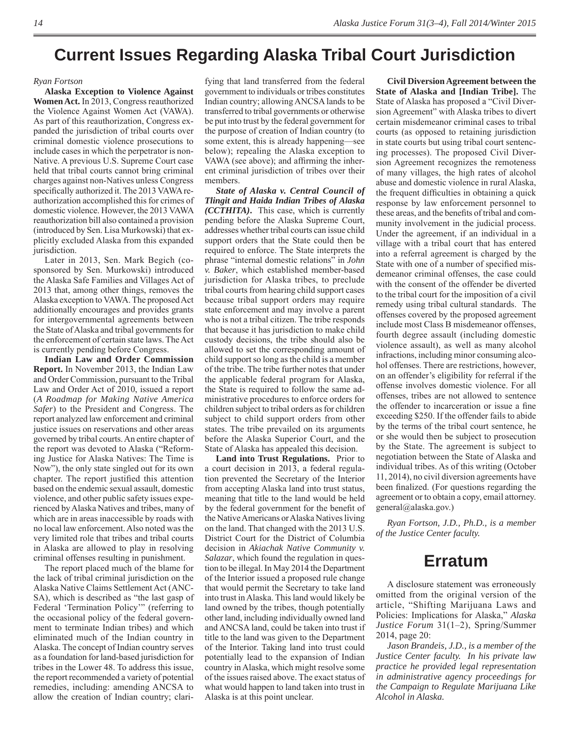### **Current Issues Regarding Alaska Tribal Court Jurisdiction**

#### *Ryan Fortson*

**Alaska Exception to Violence Against Women Act.** In 2013, Congress reauthorized the Violence Against Women Act (VAWA). As part of this reauthorization, Congress expanded the jurisdiction of tribal courts over criminal domestic violence prosecutions to include cases in which the perpetrator is non-Native. A previous U.S. Supreme Court case held that tribal courts cannot bring criminal charges against non-Natives unless Congress specifically authorized it. The 2013 VAWA reauthorization accomplished this for crimes of domestic violence. However, the 2013 VAWA reauthorization bill also contained a provision (introduced by Sen. Lisa Murkowski) that explicitly excluded Alaska from this expanded jurisdiction.

Later in 2013, Sen. Mark Begich (cosponsored by Sen. Murkowski) introduced the Alaska Safe Families and Villages Act of 2013 that, among other things, removes the Alaska exception to VAWA. The proposed Act additionally encourages and provides grants for intergovernmental agreements between the State of Alaska and tribal governments for the enforcement of certain state laws. The Act is currently pending before Congress.

**Indian Law and Order Commission Report.** In November 2013, the Indian Law and Order Commission, pursuant to the Tribal Law and Order Act of 2010, issued a report (*A Roadmap for Making Native America Safer*) to the President and Congress. The report analyzed law enforcement and criminal justice issues on reservations and other areas governed by tribal courts. An entire chapter of the report was devoted to Alaska ("Reforming Justice for Alaska Natives: The Time is Now"), the only state singled out for its own chapter. The report justified this attention based on the endemic sexual assault, domestic violence, and other public safety issues experienced by Alaska Natives and tribes, many of which are in areas inaccessible by roads with no local law enforcement. Also noted was the very limited role that tribes and tribal courts in Alaska are allowed to play in resolving criminal offenses resulting in punishment.

The report placed much of the blame for the lack of tribal criminal jurisdiction on the Alaska Native Claims Settlement Act (ANC-SA), which is described as "the last gasp of Federal 'Termination Policy'" (referring to the occasional policy of the federal government to terminate Indian tribes) and which eliminated much of the Indian country in Alaska. The concept of Indian country serves as a foundation for land-based jurisdiction for tribes in the Lower 48. To address this issue, the report recommended a variety of potential remedies, including: amending ANCSA to allow the creation of Indian country; clari-

fying that land transferred from the federal government to individuals or tribes constitutes Indian country; allowing ANCSA lands to be transferred to tribal governments or otherwise be put into trust by the federal government for the purpose of creation of Indian country (to some extent, this is already happening—see below); repealing the Alaska exception to VAWA (see above); and affirming the inherent criminal jurisdiction of tribes over their members.

*State of Alaska v. Central Council of Tlingit and Haida Indian Tribes of Alaska (CCTHITA)***.** This case, which is currently pending before the Alaska Supreme Court, addresses whether tribal courts can issue child support orders that the State could then be required to enforce. The State interprets the phrase "internal domestic relations" in *John v. Baker*, which established member-based jurisdiction for Alaska tribes, to preclude tribal courts from hearing child support cases because tribal support orders may require state enforcement and may involve a parent who is not a tribal citizen. The tribe responds that because it has jurisdiction to make child custody decisions, the tribe should also be allowed to set the corresponding amount of child support so long as the child is a member of the tribe. The tribe further notes that under the applicable federal program for Alaska, the State is required to follow the same administrative procedures to enforce orders for children subject to tribal orders as for children subject to child support orders from other states. The tribe prevailed on its arguments before the Alaska Superior Court, and the State of Alaska has appealed this decision.

**Land into Trust Regulations.** Prior to a court decision in 2013, a federal regulation prevented the Secretary of the Interior from accepting Alaska land into trust status, meaning that title to the land would be held by the federal government for the benefit of the Native Americans or Alaska Natives living on the land. That changed with the 2013 U.S. District Court for the District of Columbia decision in *Akiachak Native Community v. Salazar*, which found the regulation in question to be illegal. In May 2014 the Department of the Interior issued a proposed rule change that would permit the Secretary to take land into trust in Alaska. This land would likely be land owned by the tribes, though potentially other land, including individually owned land and ANCSA land, could be taken into trust if title to the land was given to the Department of the Interior. Taking land into trust could potentially lead to the expansion of Indian country in Alaska, which might resolve some of the issues raised above. The exact status of what would happen to land taken into trust in Alaska is at this point unclear.

**Civil Diversion Agreement between the State of Alaska and [Indian Tribe].** The State of Alaska has proposed a "Civil Diversion Agreement" with Alaska tribes to divert certain misdemeanor criminal cases to tribal courts (as opposed to retaining jurisdiction in state courts but using tribal court sentencing processes). The proposed Civil Diversion Agreement recognizes the remoteness of many villages, the high rates of alcohol abuse and domestic violence in rural Alaska, the frequent difficulties in obtaining a quick response by law enforcement personnel to these areas, and the benefits of tribal and community involvement in the judicial process. Under the agreement, if an individual in a village with a tribal court that has entered into a referral agreement is charged by the State with one of a number of specified misdemeanor criminal offenses, the case could with the consent of the offender be diverted to the tribal court for the imposition of a civil remedy using tribal cultural standards. The offenses covered by the proposed agreement include most Class B misdemeanor offenses, fourth degree assault (including domestic violence assault), as well as many alcohol infractions, including minor consuming alcohol offenses. There are restrictions, however, on an offender's eligibility for referral if the offense involves domestic violence. For all offenses, tribes are not allowed to sentence the offender to incarceration or issue a fine exceeding \$250. If the offender fails to abide by the terms of the tribal court sentence, he or she would then be subject to prosecution by the State. The agreement is subject to negotiation between the State of Alaska and individual tribes. As of this writing (October 11, 2014 ), no civil diversion agreements have been finalized. (For questions regarding the agreement or to obtain a copy, email attorney. general@alaska.gov.)

*Ryan Fortson, J.D., Ph.D., is a member of the Justice Center faculty.*

### **Erratum**

 A disclosure statement was erroneously omitted from the original version of the article, "Shifting Marijuana Laws and Policies: Implications for Alaska," *Alaska Justice Forum* 31(1–2), Spring/Summer 2014, page 20:

*Jason Brandeis, J.D., is a member of the Justice Center faculty. In his private law practice he provided legal representation in administrative agency proceedings for the Campaign to Regulate Marijuana Like Alcohol in Alaska.*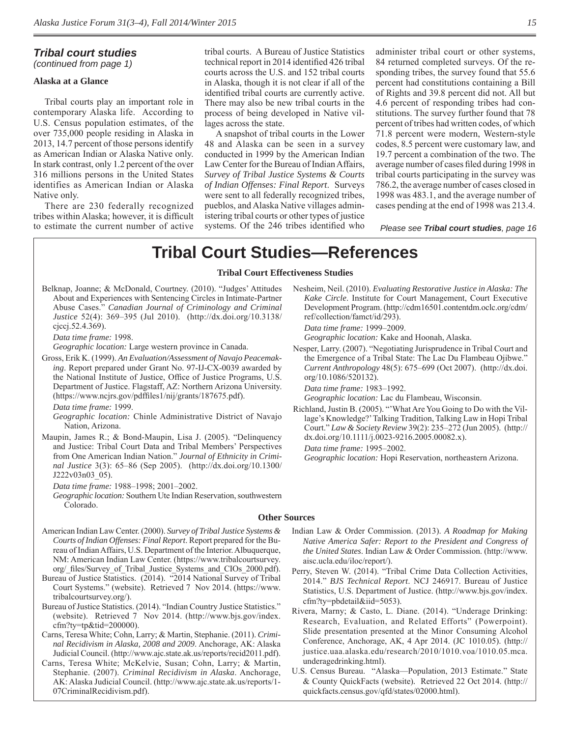### *Tribal court studies*

*(continued from page 1)*

#### **Alaska at a Glance**

Tribal courts play an important role in contemporary Alaska life. According to U.S. Census population estimates, of the over 735,000 people residing in Alaska in 2013, 14.7 percent of those persons identify as American Indian or Alaska Native only. In stark contrast, only 1.2 percent of the over 316 millions persons in the United States identifies as American Indian or Alaska Native only.

There are 230 federally recognized tribes within Alaska; however, it is difficult to estimate the current number of active tribal courts. A Bureau of Justice Statistics technical report in 2014 identified 426 tribal courts across the U.S. and 152 tribal courts in Alaska, though it is not clear if all of the identified tribal courts are currently active. There may also be new tribal courts in the process of being developed in Native villages across the state.

A snapshot of tribal courts in the Lower 48 and Alaska can be seen in a survey conducted in 1999 by the American Indian Law Center for the Bureau of Indian Affairs, *Survey of Tribal Justice Systems & Courts of Indian Offenses: Final Report*. Surveys were sent to all federally recognized tribes, pueblos, and Alaska Native villages administering tribal courts or other types of justice systems. Of the 246 tribes identified who administer tribal court or other systems, 84 returned completed surveys. Of the responding tribes, the survey found that 55.6 percent had constitutions containing a Bill of Rights and 39.8 percent did not. All but 4.6 percent of responding tribes had constitutions. The survey further found that 78 percent of tribes had written codes, of which 71.8 percent were modern, Western-style codes, 8.5 percent were customary law, and 19.7 percent a combination of the two. The average number of cases filed during 1998 in tribal courts participating in the survey was 786.2, the average number of cases closed in 1998 was 483.1, and the average number of cases pending at the end of 1998 was 213.4.

*Please see Tribal court studies, page 16*

### **Tribal Court Studies—References**

#### **Tribal Court Effectiveness Studies**

Belknap, Joanne; & McDonald, Courtney. (2010). "Judges' Attitudes About and Experiences with Sentencing Circles in Intimate-Partner Abuse Cases." *Canadian Journal of Criminology and Criminal Justice* 52(4): 369–395 (Jul 2010). (http://dx.doi.org/10.3138/ cjccj.52.4.369).

*Data time frame:* 1998.

*Geographic location:* Large western province in Canada.

Gross, Erik K. (1999). *An Evaluation/Assessment of Navajo Peacemaking*. Report prepared under Grant No. 97-IJ-CX-0039 awarded by the National Institute of Justice, Office of Justice Programs, U.S. Department of Justice. Flagstaff, AZ: Northern Arizona University. (https://www.ncjrs.gov/pdffi les1/nij/grants/187675.pdf).

*Data time frame:* 1999.

- *Geographic location:* Chinle Administrative District of Navajo Nation, Arizona.
- Maupin, James R.; & Bond-Maupin, Lisa J. (2005). "Delinquency and Justice: Tribal Court Data and Tribal Members' Perspectives from One American Indian Nation." *Journal of Ethnicity in Criminal Justice* 3(3): 65–86 (Sep 2005). (http://dx.doi.org/10.1300/ J222v03n03\_05).

*Data time frame:* 1988–1998; 2001–2002.

*Geographic location:* Southern Ute Indian Reservation, southwestern Colorado.

Nesheim, Neil. (2010). *Evaluating Restorative Justice in Alaska: The Kake Circle*. Institute for Court Management, Court Executive Development Program. (http://cdm16501.contentdm.oclc.org/cdm/ ref/collection/famct/id/293).

*Data time frame:* 1999–2009.

*Geographic location:* Kake and Hoonah, Alaska.

Nesper, Larry. (2007). "Negotiating Jurisprudence in Tribal Court and the Emergence of a Tribal State: The Lac Du Flambeau Ojibwe." *Current Anthro pology* 48(5): 675–699 (Oct 2007). (http://dx.doi. org/10.1086/520132).

*Data time frame:* 1983–1992.

*Geographic location:* Lac du Flambeau, Wisconsin.

Richland, Justin B. (2005). "'What Are You Going to Do with the Village's Knowledge?' Talking Tradition, Talking Law in Hopi Tribal Court." *Law & Society Review* 39(2): 235–272 (Jun 2005). (http:// dx.doi.org/10.1111/j.0023-9216.2005.00082.x).

*Data time frame:* 1995–2002.

*Geographic location:* Hopi Reservation, northeastern Arizona.

#### **Other Sources**

- American Indian Law Center. (2000). *Survey of Tribal Justice Systems & Courts of Indian Offenses: Final Report*. Report prepared for the Bureau of Indian Affairs, U.S. Department of the Interior. Albuquerque, NM: American Indian Law Center. (https://www.tribalcourtsurvey. org/\_files/Survey\_of\_Tribal\_Justice\_Systems\_and\_CIOs\_2000.pdf).
- Bureau of Justice Statistics. (2014). "2014 National Survey of Tribal Court Systems." (website). Retrieved 7 Nov 2014. (https://www. tribalcourtsurvey.org/).
- Bureau of Justice Statistics. (2014). "Indian Country Justice Statistics." (website). Retrieved 7 Nov 2014. (http://www.bjs.gov/index. cfm?ty=tp&tid=200000).
- Carns, Teresa White; Cohn, Larry; & Martin, Stephanie. (2011). *Criminal Recidivism in Alaska, 2008 and 2009*. Anchorage, AK: Alaska Judicial Council. (http://www.ajc.state.ak.us/reports/recid2011.pdf).
- Carns, Teresa White; McKelvie, Susan; Cohn, Larry; & Martin, Stephanie. (2007). *Criminal Recidivism in Alaska*. Anchorage, AK: Alaska Judicial Council. (http://www.ajc.state.ak.us/reports/1- 07CriminalRecidivism.pdf).
- Indian Law & Order Commission. (2013). *A Roadmap for Making Native America Safer: Report to the President and Congress of the United States*. Indian Law & Order Commission. (http://www. aisc.ucla.edu/iloc/report/).
- Perry, Steven W. (2014). "Tribal Crime Data Collection Activities, 2014." *BJS Technical Report*. NCJ 246917. Bureau of Justice Statistics, U.S. Department of Justice. (http://www.bjs.gov/index. cfm?ty=pbdetail&iid=5053).
- Rivera, Marny; & Casto, L. Diane. (2014). "Underage Drinking: Research, Evaluation, and Related Efforts" (Powerpoint). Slide presentation presented at the Minor Consuming Alcohol Conference, Anchorage, AK, 4 Apr 2014. (JC 1010.05). (http:// justice.uaa.alaska.edu/research/2010/1010.voa/1010.05.mca. underagedrinking.html).
- U.S. Census Bureau. "Alaska—Population, 2013 Estimate." State & County QuickFacts (website)*.* Retrieved 22 Oct 2014. (http:// quickfacts.census.gov/qfd/states/02000.html).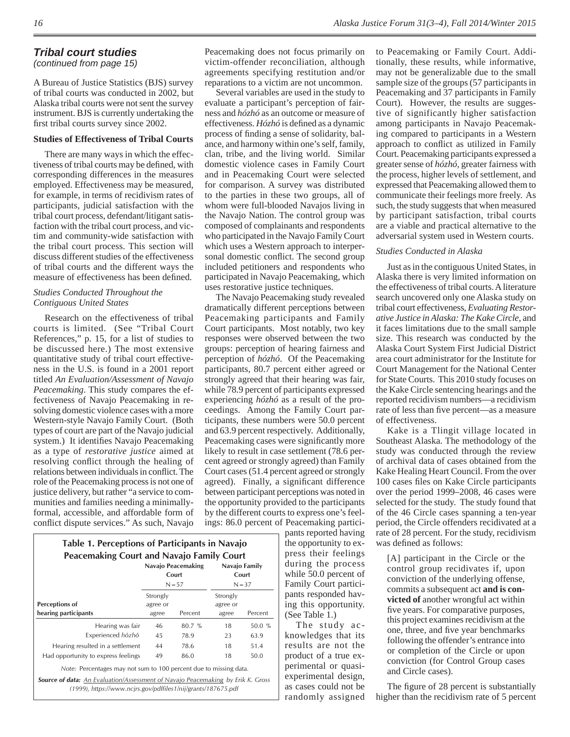### *Tribal court studies*

*(continued from page 15)*

A Bureau of Justice Statistics (BJS) survey of tribal courts was conducted in 2002, but Alaska tribal courts were not sent the survey instrument. BJS is currently undertaking the first tribal courts survey since 2002.

#### **Studies of Effectiveness of Tribal Courts**

There are many ways in which the effectiveness of tribal courts may be defined, with corresponding differences in the measures employed. Effectiveness may be measured, for example, in terms of recidivism rates of participants, judicial satisfaction with the tribal court process, defendant/litigant satisfaction with the tribal court process, and victim and community-wide satisfaction with the tribal court process. This section will discuss different studies of the effectiveness of tribal courts and the different ways the measure of effectiveness has been defined.

#### *Studies Conducted Throughout the Contiguous United States*

Research on the effectiveness of tribal courts is limited. (See "Tribal Court References," p. 15, for a list of studies to be discussed here.) The most extensive quantitative study of tribal court effectiveness in the U.S. is found in a 2001 report titled *An Evaluation/Assessment of Navajo Peacemaking*. This study compares the effectiveness of Navajo Peacemaking in resolving domestic violence cases with a more Western-style Navajo Family Court. (Both types of court are part of the Navajo judicial system.) It identifies Navajo Peacemaking as a type of *restorative justice* aimed at resolving conflict through the healing of relations between individuals in conflict. The role of the Peacemaking process is not one of justice delivery, but rather "a service to communities and families needing a minimallyformal, accessible, and affordable form of conflict dispute services." As such, Navajo

|                                     |                      | Navajo Peacemaking<br>Court | Navajo Family<br>Court |         |
|-------------------------------------|----------------------|-----------------------------|------------------------|---------|
|                                     |                      | $N = 57$                    | $N = 37$               |         |
| Perceptions of                      | Strongly<br>agree or |                             | Strongly<br>agree or   |         |
| hearing participants                | agree                | Percent                     | agree                  | Percent |
| Hearing was fair                    | 46                   | $80.7 \%$                   | 18                     | 50.0%   |
| Experienced hózhó                   | 45                   | 78.9                        | 23                     | 63.9    |
| Hearing resulted in a settlement    | 44                   | 78.6                        | 18                     | 51.4    |
| Had opportunity to express feelings | 49                   | 86.0                        | 18                     | 50.0    |

*(1999), https://www.ncjrs.gov/pdffiles1/nij/grants/187675.pdf*

Peacemaking does not focus primarily on victim-offender reconciliation, although agreements specifying restitution and/or reparations to a victim are not uncommon.

Several variables are used in the study to evaluate a participant's perception of fairness and *hózhó* as an outcome or measure of effectiveness. *Hózhó* is defined as a dynamic process of finding a sense of solidarity, balance, and harmony within one's self, family, clan, tribe, and the living world. Similar domestic violence cases in Family Court and in Peacemaking Court were selected for comparison. A survey was distributed to the parties in these two groups, all of whom were full-blooded Navajos living in the Navajo Nation. The control group was composed of complainants and respondents who participated in the Navajo Family Court which uses a Western approach to interpersonal domestic conflict. The second group included petitioners and respondents who participated in Navajo Peacemaking, which uses restorative justice techniques.

The Navajo Peacemaking study revealed dramatically different perceptions between Peacemaking participants and Family Court participants. Most notably, two key responses were observed between the two groups: perception of hearing fairness and perception of *hózhó*. Of the Peacemaking participants, 80.7 percent either agreed or strongly agreed that their hearing was fair, while 78.9 percent of participants expressed experiencing *hózhó* as a result of the proceedings. Among the Family Court participants, these numbers were 50.0 percent and 63.9 percent respectively. Additionally, Peacemaking cases were significantly more likely to result in case settlement (78.6 percent agreed or strongly agreed) than Family Court cases (51.4 percent agreed or strongly agreed). Finally, a significant difference between participant perceptions was noted in the opportunity provided to the participants by the different courts to express one's feelings: 86.0 percent of Peacemaking partici-

> pants reported having the opportunity to express their feelings during the process while 50.0 percent of Family Court participants responded having this opportunity. (See Table 1.)

The study acknowledges that its results are not the product of a true experimental or quasiexperimental design, as cases could not be randomly assigned to Peacemaking or Family Court. Additionally, these results, while informative, may not be generalizable due to the small sample size of the groups (57 participants in Peacemaking and 37 participants in Family Court). However, the results are suggestive of significantly higher satisfaction among participants in Navajo Peacemaking compared to participants in a Western approach to conflict as utilized in Family Court. Peacemaking participants expressed a greater sense of *hózhó*, greater fairness with the process, higher levels of settlement, and expressed that Peacemaking allowed them to communicate their feelings more freely. As such, the study suggests that when measured by participant satisfaction, tribal courts are a viable and practical alternative to the adversarial system used in Western courts.

#### *Studies Conducted in Alaska*

Just as in the contiguous United States, in Alaska there is very limited information on the effectiveness of tribal courts. A literature search uncovered only one Alaska study on tribal court effectiveness, *Evaluating Restorative Justice in Alaska: The Kake Circle*, and it faces limitations due to the small sample size. This research was conducted by the Alaska Court System First Judicial District area court administrator for the Institute for Court Management for the National Center for State Courts. This 2010 study focuses on the Kake Circle sentencing hearings and the reported recidivism numbers—a recidivism rate of less than five percent—as a measure of effectiveness.

Kake is a Tlingit village located in Southeast Alaska. The methodology of the study was conducted through the review of archival data of cases obtained from the Kake Healing Heart Council. From the over 100 cases files on Kake Circle participants over the period 1999–2008, 46 cases were selected for the study. The study found that of the 46 Circle cases spanning a ten-year period, the Circle offenders recidivated at a rate of 28 percent. For the study, recidivism was defined as follows:

[A] participant in the Circle or the control group recidivates if, upon conviction of the underlying offense, commits a subsequent act **and is convicted of** another wrongful act within five years. For comparative purposes, this project examines recidivism at the one, three, and five year benchmarks following the offender's entrance into or completion of the Circle or upon conviction (for Control Group cases and Circle cases).

The figure of 28 percent is substantially higher than the recidivism rate of 5 percent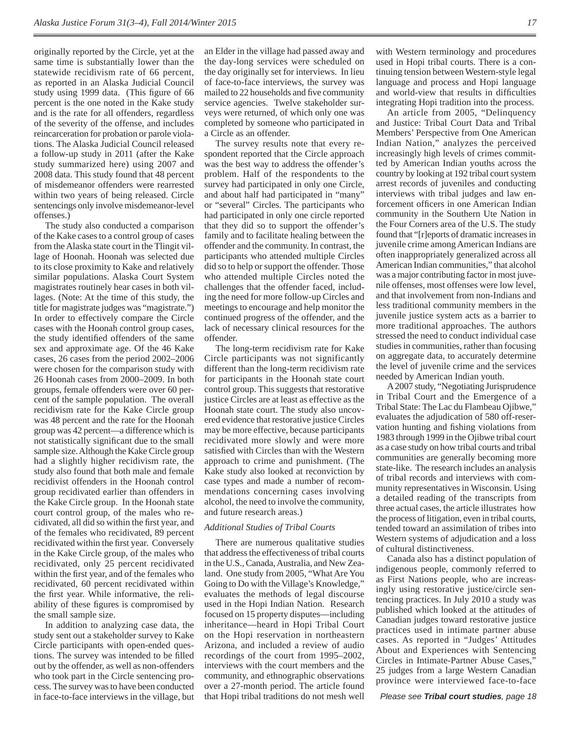originally reported by the Circle, yet at the same time is substantially lower than the statewide recidivism rate of 66 percent, as reported in an Alaska Judicial Council study using 1999 data. (This figure of 66 percent is the one noted in the Kake study and is the rate for all offenders, regardless of the severity of the offense, and includes reincarceration for probation or parole violations. The Alaska Judicial Council released a follow-up study in 2011 (after the Kake study summarized here) using 2007 and 2008 data. This study found that 48 percent of misdemeanor offenders were rearrested within two years of being released. Circle sentencings only involve misdemeanor-level offenses.)

The study also conducted a comparison of the Kake cases to a control group of cases from the Alaska state court in the Tlingit village of Hoonah. Hoonah was selected due to its close proximity to Kake and relatively similar populations. Alaska Court System magistrates routinely hear cases in both villages. (Note: At the time of this study, the title for magistrate judges was "magistrate.") In order to effectively compare the Circle cases with the Hoonah control group cases, the study identified offenders of the same sex and approximate age. Of the 46 Kake cases, 26 cases from the period 2002–2006 were chosen for the comparison study with 26 Hoonah cases from 2000–2009. In both groups, female offenders were over 60 percent of the sample population. The overall recidivism rate for the Kake Circle group was 48 percent and the rate for the Hoonah group was 42 percent—a difference which is not statistically significant due to the small sample size. Although the Kake Circle group had a slightly higher recidivism rate, the study also found that both male and female recidivist offenders in the Hoonah control group recidivated earlier than offenders in the Kake Circle group. In the Hoonah state court control group, of the males who recidivated, all did so within the first year, and of the females who recidivated, 89 percent recidivated within the first year. Conversely in the Kake Circle group, of the males who recidivated, only 25 percent recidivated within the first year, and of the females who recidivated, 60 percent recidivated within the first year. While informative, the reliability of these figures is compromised by the small sample size.

In addition to analyzing case data, the study sent out a stakeholder survey to Kake Circle participants with open-ended questions. The survey was intended to be filled out by the offender, as well as non-offenders who took part in the Circle sentencing process. The survey was to have been conducted in face-to-face interviews in the village, but an Elder in the village had passed away and the day-long services were scheduled on the day originally set for interviews. In lieu of face-to-face interviews, the survey was mailed to 22 households and five community service agencies. Twelve stakeholder surveys were returned, of which only one was completed by someone who participated in a Circle as an offender.

The survey results note that every respondent reported that the Circle approach was the best way to address the offender's problem. Half of the respondents to the survey had participated in only one Circle, and about half had participated in "many" or "several" Circles. The participants who had participated in only one circle reported that they did so to support the offender's family and to facilitate healing between the offender and the community. In contrast, the participants who attended multiple Circles did so to help or support the offender. Those who attended multiple Circles noted the challenges that the offender faced, including the need for more follow-up Circles and meetings to encourage and help monitor the continued progress of the offender, and the lack of necessary clinical resources for the offender.

The long-term recidivism rate for Kake Circle participants was not significantly different than the long-term recidivism rate for participants in the Hoonah state court control group. This suggests that restorative justice Circles are at least as effective as the Hoonah state court. The study also uncovered evidence that restorative justice Circles may be more effective, because participants recidivated more slowly and were more satisfied with Circles than with the Western approach to crime and punishment. (The Kake study also looked at reconviction by case types and made a number of recommendations concerning cases involving alcohol, the need to involve the community, and future research areas.)

#### *Additional Studies of Tribal Courts*

There are numerous qualitative studies that address the effectiveness of tribal courts in the U.S., Canada, Australia, and New Zealand. One study from 2005, "What Are You Going to Do with the Village's Knowledge," evaluates the methods of legal discourse used in the Hopi Indian Nation. Research focused on 15 property disputes—including inheritance—heard in Hopi Tribal Court on the Hopi reservation in northeastern Arizona, and included a review of audio recordings of the court from 1995–2002, interviews with the court members and the community, and ethnographic observations over a 27-month period. The article found that Hopi tribal traditions do not mesh well

with Western terminology and procedures used in Hopi tribal courts. There is a continuing tension between Western-style legal language and process and Hopi language and world-view that results in difficulties integrating Hopi tradition into the process.

An article from 2005, "Delinquency and Justice: Tribal Court Data and Tribal Members' Perspective from One American Indian Nation," analyzes the perceived increasingly high levels of crimes committed by American Indian youths across the country by looking at 192 tribal court system arrest records of juveniles and conducting interviews with tribal judges and law enforcement officers in one American Indian community in the Southern Ute Nation in the Four Corners area of the U.S. The study found that "[r]eports of dramatic increases in juvenile crime among American Indians are often inappropriately generalized across all American Indian communities," that alcohol was a major contributing factor in most juvenile offenses, most offenses were low level, and that involvement from non-Indians and less traditional community members in the juvenile justice system acts as a barrier to more traditional approaches. The authors stressed the need to conduct individual case studies in communities, rather than focusing on aggregate data, to accurately determine the level of juvenile crime and the services needed by American Indian youth.

A 2007 study, "Negotiating Jurisprudence in Tribal Court and the Emergence of a Tribal State: The Lac du Flambeau Ojibwe," evaluates the adjudication of 580 off-reservation hunting and fishing violations from 1983 through 1999 in the Ojibwe tribal court as a case study on how tribal courts and tribal communities are generally becoming more state-like. The research includes an analysis of tribal records and interviews with community representatives in Wisconsin. Using a detailed reading of the transcripts from three actual cases, the article illustrates how the process of litigation, even in tribal courts, tended toward an assimilation of tribes into Western systems of adjudication and a loss of cultural distinctiveness.

Canada also has a distinct population of indigenous people, commonly referred to as First Nations people, who are increasingly using restorative justice/circle sentencing practices. In July 2010 a study was published which looked at the attitudes of Canadian judges toward restorative justice practices used in intimate partner abuse cases. As reported in "Judges' Attitudes About and Experiences with Sentencing Circles in Intimate-Partner Abuse Cases," 25 judges from a large Western Canadian province were interviewed face-to-face

*Please see Tribal court studies, page 18*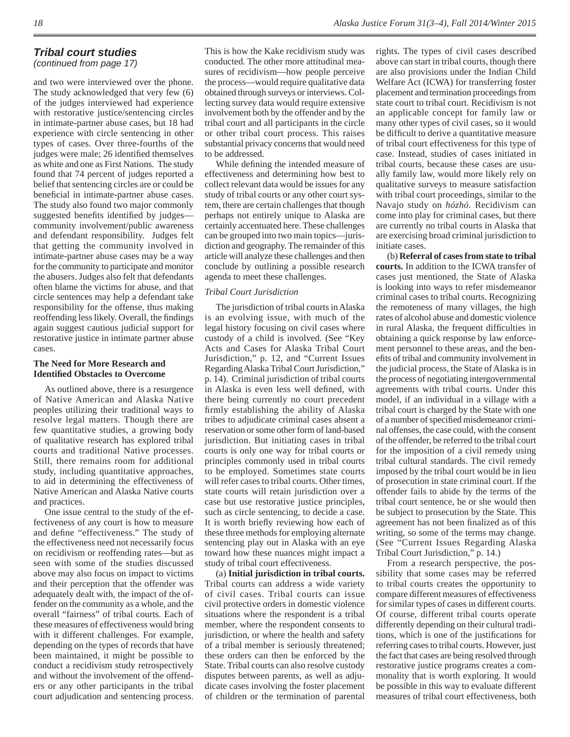### *Tribal court studies*

*(continued from page 17)*

and two were interviewed over the phone. The study acknowledged that very few (6) of the judges interviewed had experience with restorative justice/sentencing circles in intimate-partner abuse cases, but 18 had experience with circle sentencing in other types of cases. Over three-fourths of the judges were male; 26 identified themselves as white and one as First Nations. The study found that 74 percent of judges reported a belief that sentencing circles are or could be beneficial in intimate-partner abuse cases. The study also found two major commonly suggested benefits identified by judgescommunity involvement/public awareness and defendant responsibility. Judges felt that getting the community involved in intimate-partner abuse cases may be a way for the community to participate and monitor the abusers. Judges also felt that defendants often blame the victims for abuse, and that circle sentences may help a defendant take responsibility for the offense, thus making reoffending less likely. Overall, the findings again suggest cautious judicial support for restorative justice in intimate partner abuse cases.

#### **The Need for More Research and Identifi ed Obstacles to Overcome**

As outlined above, there is a resurgence of Native American and Alaska Native peoples utilizing their traditional ways to resolve legal matters. Though there are few quantitative studies, a growing body of qualitative research has explored tribal courts and traditional Native processes. Still, there remains room for additional study, including quantitative approaches, to aid in determining the effectiveness of Native American and Alaska Native courts and practices.

One issue central to the study of the effectiveness of any court is how to measure and define "effectiveness." The study of the effectiveness need not necessarily focus on recidivism or reoffending rates—but as seen with some of the studies discussed above may also focus on impact to victims and their perception that the offender was adequately dealt with, the impact of the offender on the community as a whole, and the overall "fairness" of tribal courts. Each of these measures of effectiveness would bring with it different challenges. For example, depending on the types of records that have been maintained, it might be possible to conduct a recidivism study retrospectively and without the involvement of the offenders or any other participants in the tribal court adjudication and sentencing process.

This is how the Kake recidivism study was conducted. The other more attitudinal measures of recidivism—how people perceive the process—would require qualitative data obtained through surveys or interviews. Collecting survey data would require extensive involvement both by the offender and by the tribal court and all participants in the circle or other tribal court process. This raises substantial privacy concerns that would need to be addressed.

While defining the intended measure of effectiveness and determining how best to collect relevant data would be issues for any study of tribal courts or any other court system, there are certain challenges that though perhaps not entirely unique to Alaska are certainly accentuated here. These challenges can be grouped into two main topics—jurisdiction and geography. The remainder of this article will analyze these challenges and then conclude by outlining a possible research agenda to meet these challenges.

#### *Tribal Court Jurisdiction*

The jurisdiction of tribal courts in Alaska is an evolving issue, with much of the legal history focusing on civil cases where custody of a child is involved. (See "Key Acts and Cases for Alaska Tribal Court Jurisdiction," p. 12, and "Current Issues Regarding Alaska Tribal Court Jurisdiction," p. 14). Criminal jurisdiction of tribal courts in Alaska is even less well defined, with there being currently no court precedent firmly establishing the ability of Alaska tribes to adjudicate criminal cases absent a reservation or some other form of land-based jurisdiction. But initiating cases in tribal courts is only one way for tribal courts or principles commonly used in tribal courts to be employed. Sometimes state courts will refer cases to tribal courts. Other times, state courts will retain jurisdiction over a case but use restorative justice principles, such as circle sentencing, to decide a case. It is worth briefly reviewing how each of these three methods for employing alternate sentencing play out in Alaska with an eye toward how these nuances might impact a study of tribal court effectiveness.

(a) **Initial jurisdiction in tribal courts.** Tribal courts can address a wide variety of civil cases. Tribal courts can issue civil protective orders in domestic violence situations where the respondent is a tribal member, where the respondent consents to jurisdiction, or where the health and safety of a tribal member is seriously threatened; these orders can then be enforced by the State. Tribal courts can also resolve custody disputes between parents, as well as adjudicate cases involving the foster placement of children or the termination of parental

rights. The types of civil cases described above can start in tribal courts, though there are also provisions under the Indian Child Welfare Act (ICWA) for transferring foster placement and termination proceedings from state court to tribal court. Recidivism is not an applicable concept for family law or many other types of civil cases, so it would be difficult to derive a quantitative measure of tribal court effectiveness for this type of case. Instead, studies of cases initiated in tribal courts, because these cases are usually family law, would more likely rely on qualitative surveys to measure satisfaction with tribal court proceedings, similar to the Navajo study on *hózhó.* Recidivism can come into play for criminal cases, but there are currently no tribal courts in Alaska that are exercising broad criminal jurisdiction to initiate cases.

(b) **Referral of cases from state to tribal courts.** In addition to the ICWA transfer of cases just mentioned, the State of Alaska is looking into ways to refer misdemeanor criminal cases to tribal courts. Recognizing the remoteness of many villages, the high rates of alcohol abuse and domestic violence in rural Alaska, the frequent difficulties in obtaining a quick response by law enforcement personnel to these areas, and the benefits of tribal and community involvement in the judicial process, the State of Alaska is in the process of negotiating intergovernmental agreements with tribal courts. Under this model, if an individual in a village with a tribal court is charged by the State with one of a number of specified misdemeanor criminal offenses, the case could, with the consent of the offender, be referred to the tribal court for the imposition of a civil remedy using tribal cultural standards. The civil remedy imposed by the tribal court would be in lieu of prosecution in state criminal court. If the offender fails to abide by the terms of the tribal court sentence, he or she would then be subject to prosecution by the State. This agreement has not been finalized as of this writing, so some of the terms may change. (See "Current Issues Regarding Alaska Tribal Court Jurisdiction," p. 14.)

From a research perspective, the possibility that some cases may be referred to tribal courts creates the opportunity to compare different measures of effectiveness for similar types of cases in different courts. Of course, different tribal courts operate differently depending on their cultural traditions, which is one of the justifications for referring cases to tribal courts. However, just the fact that cases are being resolved through restorative justice programs creates a commonality that is worth exploring. It would be possible in this way to evaluate different measures of tribal court effectiveness, both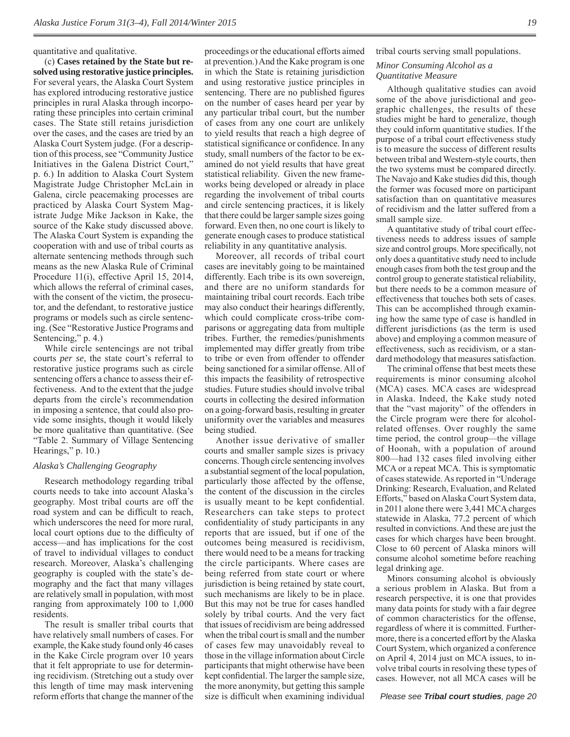quantitative and qualitative.

(c) **Cases retained by the State but resolved using restorative justice principles.** For several years, the Alaska Court System has explored introducing restorative justice principles in rural Alaska through incorporating these principles into certain criminal cases. The State still retains jurisdiction over the cases, and the cases are tried by an Alaska Court System judge. (For a description of this process, see "Community Justice Initiatives in the Galena District Court," p. 6.) In addition to Alaska Court System Magistrate Judge Christopher McLain in Galena, circle peacemaking processes are practiced by Alaska Court System Magistrate Judge Mike Jackson in Kake, the source of the Kake study discussed above. The Alaska Court System is expanding the cooperation with and use of tribal courts as alternate sentencing methods through such means as the new Alaska Rule of Criminal Procedure 11(i), effective April 15, 2014, which allows the referral of criminal cases, with the consent of the victim, the prosecutor, and the defendant, to restorative justice programs or models such as circle sentencing. (See "Restorative Justice Programs and Sentencing," p. 4.)

While circle sentencings are not tribal courts *per se*, the state court's referral to restorative justice programs such as circle sentencing offers a chance to assess their effectiveness. And to the extent that the judge departs from the circle's recommendation in imposing a sentence, that could also provide some insights, though it would likely be more qualitative than quantitative. (See "Table 2. Summary of Village Sentencing Hearings," p. 10.)

#### *Alaska's Challenging Geography*

Research methodology regarding tribal courts needs to take into account Alaska's geography. Most tribal courts are off the road system and can be difficult to reach, which underscores the need for more rural, local court options due to the difficulty of access—and has implications for the cost of travel to individual villages to conduct research. Moreover, Alaska's challenging geography is coupled with the state's demography and the fact that many villages are relatively small in population, with most ranging from approximately 100 to 1,000 residents.

The result is smaller tribal courts that have relatively small numbers of cases. For example, the Kake study found only 46 cases in the Kake Circle program over 10 years that it felt appropriate to use for determining recidivism. (Stretching out a study over this length of time may mask intervening reform efforts that change the manner of the

proceedings or the educational efforts aimed at prevention.) And the Kake program is one in which the State is retaining jurisdiction and using restorative justice principles in sentencing. There are no published figures on the number of cases heard per year by any particular tribal court, but the number of cases from any one court are unlikely to yield results that reach a high degree of statistical significance or confidence. In any study, small numbers of the factor to be examined do not yield results that have great statistical reliability. Given the new frameworks being developed or already in place regarding the involvement of tribal courts and circle sentencing practices, it is likely that there could be larger sample sizes going forward. Even then, no one court is likely to generate enough cases to produce statistical reliability in any quantitative analysis.

Moreover, all records of tribal court cases are inevitably going to be maintained differently. Each tribe is its own sovereign, and there are no uniform standards for maintaining tribal court records. Each tribe may also conduct their hearings differently, which could complicate cross-tribe comparisons or aggregating data from multiple tribes. Further, the remedies/punishments implemented may differ greatly from tribe to tribe or even from offender to offender being sanctioned for a similar offense. All of this impacts the feasibility of retrospective studies. Future studies should involve tribal courts in collecting the desired information on a going-forward basis, resulting in greater uniformity over the variables and measures being studied.

Another issue derivative of smaller courts and smaller sample sizes is privacy concerns. Though circle sentencing involves a substantial segment of the local population, particularly those affected by the offense, the content of the discussion in the circles is usually meant to be kept confidential. Researchers can take steps to protect confidentiality of study participants in any reports that are issued, but if one of the outcomes being measured is recidivism, there would need to be a means for tracking the circle participants. Where cases are being referred from state court or where jurisdiction is being retained by state court, such mechanisms are likely to be in place. But this may not be true for cases handled solely by tribal courts. And the very fact that issues of recidivism are being addressed when the tribal court is small and the number of cases few may unavoidably reveal to those in the village information about Circle participants that might otherwise have been kept confidential. The larger the sample size, the more anonymity, but getting this sample size is difficult when examining individual tribal courts serving small populations.

#### *Minor Consuming Alcohol as a Quantitative Measure*

Although qualitative studies can avoid some of the above jurisdictional and geographic challenges, the results of these studies might be hard to generalize, though they could inform quantitative studies. If the purpose of a tribal court effectiveness study is to measure the success of different results between tribal and Western-style courts, then the two systems must be compared directly. The Navajo and Kake studies did this, though the former was focused more on participant satisfaction than on quantitative measures of recidivism and the latter suffered from a small sample size.

A quantitative study of tribal court effectiveness needs to address issues of sample size and control groups. More specifically, not only does a quantitative study need to include enough cases from both the test group and the control group to generate statistical reliability, but there needs to be a common measure of effectiveness that touches both sets of cases. This can be accomplished through examining how the same type of case is handled in different jurisdictions (as the term is used above) and employing a common measure of effectiveness, such as recidivism, or a standard methodology that measures satisfaction.

The criminal offense that best meets these requirements is minor consuming alcohol (MCA) cases. MCA cases are widespread in Alaska. Indeed, the Kake study noted that the "vast majority" of the offenders in the Circle program were there for alcoholrelated offenses. Over roughly the same time period, the control group—the village of Hoonah, with a population of around 800—had 132 cases filed involving either MCA or a repeat MCA. This is symptomatic of cases statewide. As reported in "Underage Drinking: Research, Evaluation, and Related Efforts," based on Alaska Court System data, in 2011 alone there were 3,441 MCA charges statewide in Alaska, 77.2 percent of which resulted in convictions. And these are just the cases for which charges have been brought. Close to 60 percent of Alaska minors will consume alcohol sometime before reaching legal drinking age.

Minors consuming alcohol is obviously a serious problem in Alaska. But from a research perspective, it is one that provides many data points for study with a fair degree of common characteristics for the offense, regardless of where it is committed. Furthermore, there is a concerted effort by the Alaska Court System, which organized a conference on April 4, 2014 just on MCA issues, to involve tribal courts in resolving these types of cases. However, not all MCA cases will be

*Please see Tribal court studies, page 20*